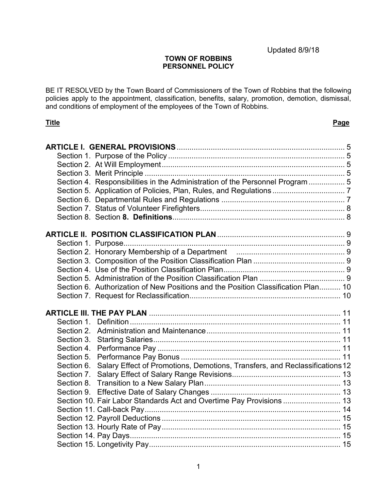### **TOWN OF ROBBINS PERSONNEL POLICY**

BE IT RESOLVED by the Town Board of Commissioners of the Town of Robbins that the following policies apply to the appointment, classification, benefits, salary, promotion, demotion, dismissal, and conditions of employment of the employees of the Town of Robbins.

### **Title Page**

| Section 4. Responsibilities in the Administration of the Personnel Program  5          |  |
|----------------------------------------------------------------------------------------|--|
|                                                                                        |  |
|                                                                                        |  |
|                                                                                        |  |
|                                                                                        |  |
|                                                                                        |  |
|                                                                                        |  |
|                                                                                        |  |
|                                                                                        |  |
|                                                                                        |  |
|                                                                                        |  |
|                                                                                        |  |
| Section 6. Authorization of New Positions and the Position Classification Plan 10      |  |
|                                                                                        |  |
|                                                                                        |  |
|                                                                                        |  |
|                                                                                        |  |
|                                                                                        |  |
|                                                                                        |  |
|                                                                                        |  |
|                                                                                        |  |
| Section 6. Salary Effect of Promotions, Demotions, Transfers, and Reclassifications 12 |  |
|                                                                                        |  |
|                                                                                        |  |
|                                                                                        |  |
| Section 10. Fair Labor Standards Act and Overtime Pay Provisions  13                   |  |
|                                                                                        |  |
|                                                                                        |  |
|                                                                                        |  |
|                                                                                        |  |
|                                                                                        |  |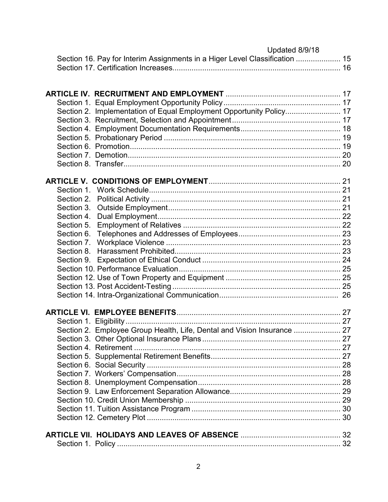| Updated 8/9/18                                                              |  |
|-----------------------------------------------------------------------------|--|
| Section 16. Pay for Interim Assignments in a Higer Level Classification  15 |  |
|                                                                             |  |

| Section 2. Implementation of Equal Employment Opportunity Policy 17<br>Section 4.<br>Section 5.<br>Section 8<br>Section 2. Employee Group Health, Life, Dental and Vision Insurance  27 |  |
|-----------------------------------------------------------------------------------------------------------------------------------------------------------------------------------------|--|
|                                                                                                                                                                                         |  |
|                                                                                                                                                                                         |  |
|                                                                                                                                                                                         |  |
|                                                                                                                                                                                         |  |
|                                                                                                                                                                                         |  |
|                                                                                                                                                                                         |  |
|                                                                                                                                                                                         |  |
|                                                                                                                                                                                         |  |
|                                                                                                                                                                                         |  |
|                                                                                                                                                                                         |  |
|                                                                                                                                                                                         |  |
|                                                                                                                                                                                         |  |
|                                                                                                                                                                                         |  |
|                                                                                                                                                                                         |  |
|                                                                                                                                                                                         |  |
|                                                                                                                                                                                         |  |
|                                                                                                                                                                                         |  |
|                                                                                                                                                                                         |  |
|                                                                                                                                                                                         |  |
|                                                                                                                                                                                         |  |
|                                                                                                                                                                                         |  |
|                                                                                                                                                                                         |  |
|                                                                                                                                                                                         |  |
|                                                                                                                                                                                         |  |
|                                                                                                                                                                                         |  |
|                                                                                                                                                                                         |  |
|                                                                                                                                                                                         |  |
|                                                                                                                                                                                         |  |
|                                                                                                                                                                                         |  |
|                                                                                                                                                                                         |  |
|                                                                                                                                                                                         |  |
|                                                                                                                                                                                         |  |
|                                                                                                                                                                                         |  |
|                                                                                                                                                                                         |  |
|                                                                                                                                                                                         |  |
|                                                                                                                                                                                         |  |
|                                                                                                                                                                                         |  |
|                                                                                                                                                                                         |  |
|                                                                                                                                                                                         |  |
|                                                                                                                                                                                         |  |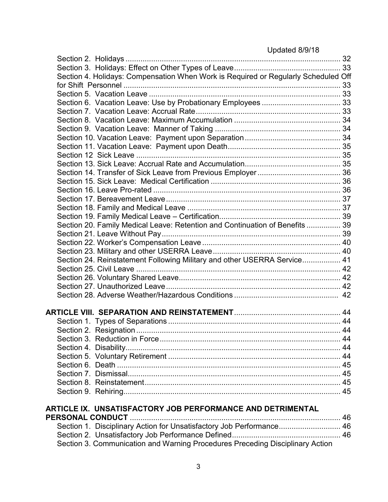| Section 4. Holidays: Compensation When Work is Required or Regularly Scheduled Off |  |
|------------------------------------------------------------------------------------|--|
|                                                                                    |  |
|                                                                                    |  |
|                                                                                    |  |
|                                                                                    |  |
|                                                                                    |  |
|                                                                                    |  |
|                                                                                    |  |
|                                                                                    |  |
|                                                                                    |  |
|                                                                                    |  |
|                                                                                    |  |
|                                                                                    |  |
|                                                                                    |  |
|                                                                                    |  |
|                                                                                    |  |
|                                                                                    |  |
| Section 20. Family Medical Leave: Retention and Continuation of Benefits  39       |  |
|                                                                                    |  |
|                                                                                    |  |
|                                                                                    |  |
| Section 24. Reinstatement Following Military and other USERRA Service 41           |  |
|                                                                                    |  |
|                                                                                    |  |
|                                                                                    |  |
|                                                                                    |  |
|                                                                                    |  |
|                                                                                    |  |
|                                                                                    |  |
|                                                                                    |  |
|                                                                                    |  |
|                                                                                    |  |
|                                                                                    |  |
|                                                                                    |  |
|                                                                                    |  |
|                                                                                    |  |
|                                                                                    |  |
|                                                                                    |  |
| ARTICLE IX. UNSATISFACTORY JOB PERFORMANCE AND DETRIMENTAL                         |  |
|                                                                                    |  |
| Section 1. Disciplinary Action for Unsatisfactory Job Performance 46               |  |
|                                                                                    |  |
|                                                                                    |  |

[Section 3. Communication and Warning Procedures Preceding Disciplinary Action](#page-46-0)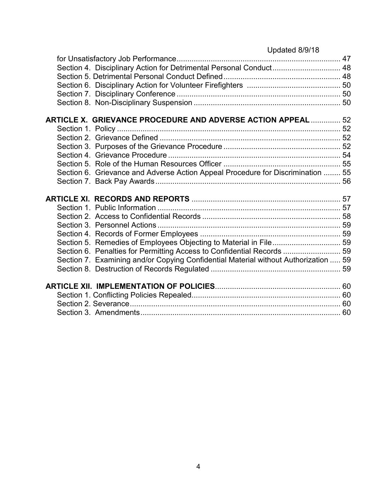| Updated 8/9/18                                                                      |  |
|-------------------------------------------------------------------------------------|--|
|                                                                                     |  |
| Section 4. Disciplinary Action for Detrimental Personal Conduct 48                  |  |
|                                                                                     |  |
|                                                                                     |  |
|                                                                                     |  |
|                                                                                     |  |
| <b>ARTICLE X. GRIEVANCE PROCEDURE AND ADVERSE ACTION APPEAL  52</b>                 |  |
|                                                                                     |  |
|                                                                                     |  |
|                                                                                     |  |
|                                                                                     |  |
|                                                                                     |  |
| Section 6. Grievance and Adverse Action Appeal Procedure for Discrimination  55     |  |
|                                                                                     |  |
|                                                                                     |  |
|                                                                                     |  |
|                                                                                     |  |
|                                                                                     |  |
|                                                                                     |  |
| Section 5. Remedies of Employees Objecting to Material in File 59                   |  |
| Section 6. Penalties for Permitting Access to Confidential Records  59              |  |
| Section 7. Examining and/or Copying Confidential Material without Authorization  59 |  |
|                                                                                     |  |
|                                                                                     |  |
|                                                                                     |  |
|                                                                                     |  |
|                                                                                     |  |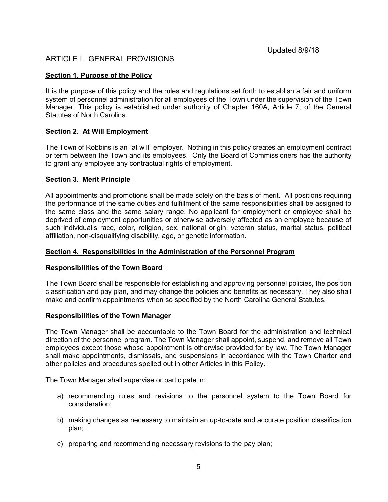## <span id="page-4-0"></span>ARTICLE I. GENERAL PROVISIONS

### <span id="page-4-1"></span>**Section 1. Purpose of the Policy**

It is the purpose of this policy and the rules and regulations set forth to establish a fair and uniform system of personnel administration for all employees of the Town under the supervision of the Town Manager. This policy is established under authority of Chapter 160A, Article 7, of the General Statutes of North Carolina.

### <span id="page-4-2"></span>**Section 2. At Will Employment**

The Town of Robbins is an "at will" employer. Nothing in this policy creates an employment contract or term between the Town and its employees. Only the Board of Commissioners has the authority to grant any employee any contractual rights of employment.

### <span id="page-4-3"></span>**Section 3. Merit Principle**

All appointments and promotions shall be made solely on the basis of merit. All positions requiring the performance of the same duties and fulfillment of the same responsibilities shall be assigned to the same class and the same salary range. No applicant for employment or employee shall be deprived of employment opportunities or otherwise adversely affected as an employee because of such individual's race, color, religion, sex, national origin, veteran status, marital status, political affiliation, non-disqualifying disability, age, or genetic information.

#### <span id="page-4-4"></span>**Section 4. Responsibilities in the Administration of the Personnel Program**

#### **Responsibilities of the Town Board**

The Town Board shall be responsible for establishing and approving personnel policies, the position classification and pay plan, and may change the policies and benefits as necessary. They also shall make and confirm appointments when so specified by the North Carolina General Statutes.

#### **Responsibilities of the Town Manager**

The Town Manager shall be accountable to the Town Board for the administration and technical direction of the personnel program. The Town Manager shall appoint, suspend, and remove all Town employees except those whose appointment is otherwise provided for by law. The Town Manager shall make appointments, dismissals, and suspensions in accordance with the Town Charter and other policies and procedures spelled out in other Articles in this Policy.

The Town Manager shall supervise or participate in:

- a) recommending rules and revisions to the personnel system to the Town Board for consideration;
- b) making changes as necessary to maintain an up-to-date and accurate position classification plan;
- c) preparing and recommending necessary revisions to the pay plan;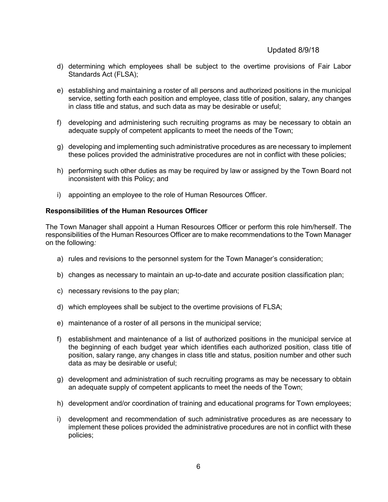- d) determining which employees shall be subject to the overtime provisions of Fair Labor Standards Act (FLSA);
- e) establishing and maintaining a roster of all persons and authorized positions in the municipal service, setting forth each position and employee, class title of position, salary, any changes in class title and status, and such data as may be desirable or useful;
- f) developing and administering such recruiting programs as may be necessary to obtain an adequate supply of competent applicants to meet the needs of the Town;
- g) developing and implementing such administrative procedures as are necessary to implement these polices provided the administrative procedures are not in conflict with these policies;
- h) performing such other duties as may be required by law or assigned by the Town Board not inconsistent with this Policy; and
- i) appointing an employee to the role of Human Resources Officer.

### **Responsibilities of the Human Resources Officer**

The Town Manager shall appoint a Human Resources Officer or perform this role him/herself. The responsibilities of the Human Resources Officer are to make recommendations to the Town Manager on the following*:*

- a) rules and revisions to the personnel system for the Town Manager's consideration;
- b) changes as necessary to maintain an up-to-date and accurate position classification plan;
- c) necessary revisions to the pay plan;
- d) which employees shall be subject to the overtime provisions of FLSA;
- e) maintenance of a roster of all persons in the municipal service;
- f) establishment and maintenance of a list of authorized positions in the municipal service at the beginning of each budget year which identifies each authorized position, class title of position, salary range, any changes in class title and status, position number and other such data as may be desirable or useful;
- g) development and administration of such recruiting programs as may be necessary to obtain an adequate supply of competent applicants to meet the needs of the Town;
- h) development and/or coordination of training and educational programs for Town employees;
- i) development and recommendation of such administrative procedures as are necessary to implement these polices provided the administrative procedures are not in conflict with these policies;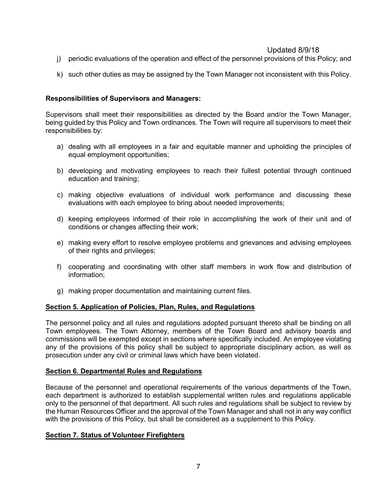- j) periodic evaluations of the operation and effect of the personnel provisions of this Policy; and
- k) such other duties as may be assigned by the Town Manager not inconsistent with this Policy.

### **Responsibilities of Supervisors and Managers:**

Supervisors shall meet their responsibilities as directed by the Board and/or the Town Manager, being guided by this Policy and Town ordinances. The Town will require all supervisors to meet their responsibilities by:

- a) dealing with all employees in a fair and equitable manner and upholding the principles of equal employment opportunities;
- b) developing and motivating employees to reach their fullest potential through continued education and training;
- c) making objective evaluations of individual work performance and discussing these evaluations with each employee to bring about needed improvements;
- d) keeping employees informed of their role in accomplishing the work of their unit and of conditions or changes affecting their work;
- e) making every effort to resolve employee problems and grievances and advising employees of their rights and privileges;
- f) cooperating and coordinating with other staff members in work flow and distribution of information;
- g) making proper documentation and maintaining current files.

#### <span id="page-6-0"></span>**Section 5. Application of Policies, Plan, Rules, and Regulations**

The personnel policy and all rules and regulations adopted pursuant thereto shall be binding on all Town employees. The Town Attorney, members of the Town Board and advisory boards and commissions will be exempted except in sections where specifically included. An employee violating any of the provisions of this policy shall be subject to appropriate disciplinary action, as well as prosecution under any civil or criminal laws which have been violated.

### <span id="page-6-1"></span>**Section 6. Departmental Rules and Regulations**

Because of the personnel and operational requirements of the various departments of the Town, each department is authorized to establish supplemental written rules and regulations applicable only to the personnel of that department. All such rules and regulations shall be subject to review by the Human Resources Officer and the approval of the Town Manager and shall not in any way conflict with the provisions of this Policy, but shall be considered as a supplement to this Policy.

### **Section 7. Status of Volunteer Firefighters**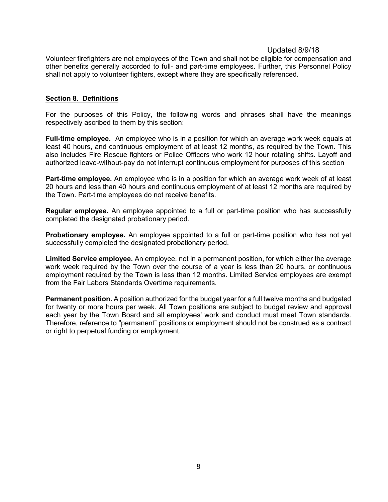Volunteer firefighters are not employees of the Town and shall not be eligible for compensation and other benefits generally accorded to full- and part-time employees. Further, this Personnel Policy shall not apply to volunteer fighters, except where they are specifically referenced.

#### <span id="page-7-0"></span>**Section 8. Definitions**

For the purposes of this Policy, the following words and phrases shall have the meanings respectively ascribed to them by this section:

**Full-time employee.** An employee who is in a position for which an average work week equals at least 40 hours, and continuous employment of at least 12 months, as required by the Town. This also includes Fire Rescue fighters or Police Officers who work 12 hour rotating shifts. Layoff and authorized leave-without-pay do not interrupt continuous employment for purposes of this section

**Part-time employee.** An employee who is in a position for which an average work week of at least 20 hours and less than 40 hours and continuous employment of at least 12 months are required by the Town. Part-time employees do not receive benefits.

**Regular employee.** An employee appointed to a full or part-time position who has successfully completed the designated probationary period.

**Probationary employee.** An employee appointed to a full or part-time position who has not yet successfully completed the designated probationary period.

**Limited Service employee.** An employee, not in a permanent position, for which either the average work week required by the Town over the course of a year is less than 20 hours, or continuous employment required by the Town is less than 12 months. Limited Service employees are exempt from the Fair Labors Standards Overtime requirements.

**Permanent position.** A position authorized for the budget year for a full twelve months and budgeted for twenty or more hours per week. All Town positions are subject to budget review and approval each year by the Town Board and all employees' work and conduct must meet Town standards. Therefore, reference to "permanent" positions or employment should not be construed as a contract or right to perpetual funding or employment.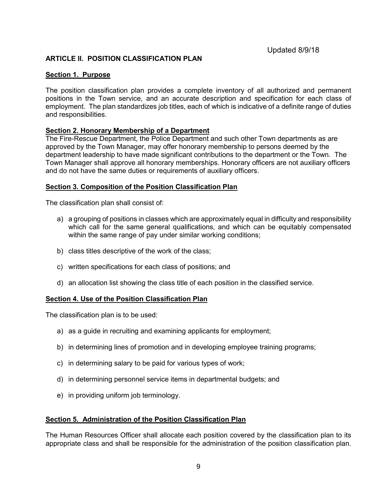### <span id="page-8-0"></span>**ARTICLE II. POSITION CLASSIFICATION PLAN**

#### <span id="page-8-1"></span>**Section 1. Purpose**

The position classification plan provides a complete inventory of all authorized and permanent positions in the Town service, and an accurate description and specification for each class of employment. The plan standardizes job titles, each of which is indicative of a definite range of duties and responsibilities.

### <span id="page-8-2"></span>**Section 2. Honorary Membership of a Department**

The Fire-Rescue Department, the Police Department and such other Town departments as are approved by the Town Manager, may offer honorary membership to persons deemed by the department leadership to have made significant contributions to the department or the Town. The Town Manager shall approve all honorary memberships. Honorary officers are not auxiliary officers and do not have the same duties or requirements of auxiliary officers.

### **Section 3. Composition of the Position Classification Plan**

The classification plan shall consist of:

- a) a grouping of positions in classes which are approximately equal in difficulty and responsibility which call for the same general qualifications, and which can be equitably compensated within the same range of pay under similar working conditions;
- b) class titles descriptive of the work of the class;
- c) written specifications for each class of positions; and
- d) an allocation list showing the class title of each position in the classified service.

#### <span id="page-8-3"></span>**Section 4. Use of the Position Classification Plan**

The classification plan is to be used:

- a) as a guide in recruiting and examining applicants for employment;
- b) in determining lines of promotion and in developing employee training programs;
- c) in determining salary to be paid for various types of work;
- d) in determining personnel service items in departmental budgets; and
- <span id="page-8-4"></span>e) in providing uniform job terminology.

#### **Section 5. Administration of the Position Classification Plan**

The Human Resources Officer shall allocate each position covered by the classification plan to its appropriate class and shall be responsible for the administration of the position classification plan.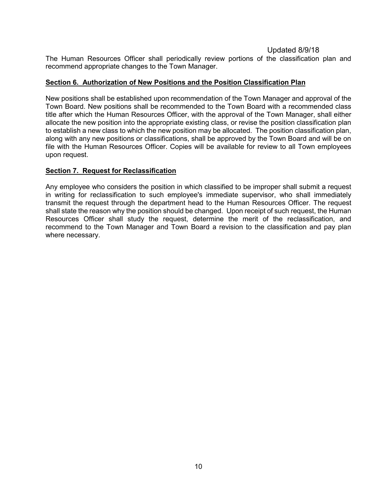The Human Resources Officer shall periodically review portions of the classification plan and recommend appropriate changes to the Town Manager.

### <span id="page-9-0"></span>**Section 6. Authorization of New Positions and the Position Classification Plan**

New positions shall be established upon recommendation of the Town Manager and approval of the Town Board. New positions shall be recommended to the Town Board with a recommended class title after which the Human Resources Officer, with the approval of the Town Manager, shall either allocate the new position into the appropriate existing class, or revise the position classification plan to establish a new class to which the new position may be allocated. The position classification plan, along with any new positions or classifications, shall be approved by the Town Board and will be on file with the Human Resources Officer. Copies will be available for review to all Town employees upon request.

### <span id="page-9-1"></span>**Section 7. Request for Reclassification**

Any employee who considers the position in which classified to be improper shall submit a request in writing for reclassification to such employee's immediate supervisor, who shall immediately transmit the request through the department head to the Human Resources Officer. The request shall state the reason why the position should be changed. Upon receipt of such request, the Human Resources Officer shall study the request, determine the merit of the reclassification, and recommend to the Town Manager and Town Board a revision to the classification and pay plan where necessary.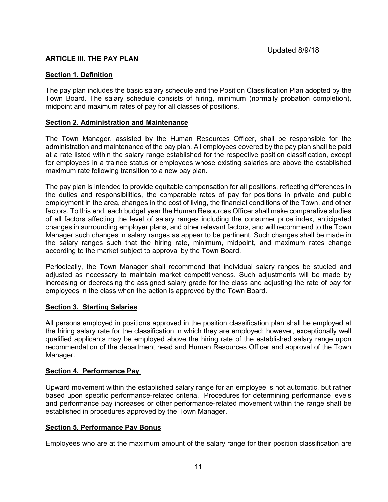### <span id="page-10-0"></span>**ARTICLE III. THE PAY PLAN**

### <span id="page-10-1"></span>**Section 1. Definition**

The pay plan includes the basic salary schedule and the Position Classification Plan adopted by the Town Board. The salary schedule consists of hiring, minimum (normally probation completion), midpoint and maximum rates of pay for all classes of positions.

### <span id="page-10-2"></span>**Section 2. Administration and Maintenance**

The Town Manager, assisted by the Human Resources Officer, shall be responsible for the administration and maintenance of the pay plan. All employees covered by the pay plan shall be paid at a rate listed within the salary range established for the respective position classification, except for employees in a trainee status or employees whose existing salaries are above the established maximum rate following transition to a new pay plan.

The pay plan is intended to provide equitable compensation for all positions, reflecting differences in the duties and responsibilities, the comparable rates of pay for positions in private and public employment in the area, changes in the cost of living, the financial conditions of the Town, and other factors. To this end, each budget year the Human Resources Officer shall make comparative studies of all factors affecting the level of salary ranges including the consumer price index, anticipated changes in surrounding employer plans, and other relevant factors, and will recommend to the Town Manager such changes in salary ranges as appear to be pertinent. Such changes shall be made in the salary ranges such that the hiring rate, minimum, midpoint, and maximum rates change according to the market subject to approval by the Town Board.

Periodically, the Town Manager shall recommend that individual salary ranges be studied and adjusted as necessary to maintain market competitiveness. Such adjustments will be made by increasing or decreasing the assigned salary grade for the class and adjusting the rate of pay for employees in the class when the action is approved by the Town Board.

#### <span id="page-10-3"></span>**Section 3. Starting Salaries**

All persons employed in positions approved in the position classification plan shall be employed at the hiring salary rate for the classification in which they are employed; however, exceptionally well qualified applicants may be employed above the hiring rate of the established salary range upon recommendation of the department head and Human Resources Officer and approval of the Town Manager.

#### <span id="page-10-4"></span>**Section 4. Performance Pay**

Upward movement within the established salary range for an employee is not automatic, but rather based upon specific performance-related criteria. Procedures for determining performance levels and performance pay increases or other performance-related movement within the range shall be established in procedures approved by the Town Manager.

#### <span id="page-10-5"></span>**Section 5. Performance Pay Bonus**

Employees who are at the maximum amount of the salary range for their position classification are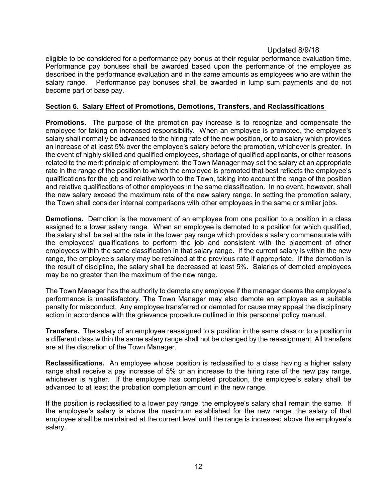eligible to be considered for a performance pay bonus at their regular performance evaluation time. Performance pay bonuses shall be awarded based upon the performance of the employee as described in the performance evaluation and in the same amounts as employees who are within the salary range. Performance pay bonuses shall be awarded in lump sum payments and do not become part of base pay.

### <span id="page-11-0"></span>**Section 6. Salary Effect of Promotions, Demotions, Transfers, and Reclassifications**

**Promotions.** The purpose of the promotion pay increase is to recognize and compensate the employee for taking on increased responsibility. When an employee is promoted, the employee's salary shall normally be advanced to the hiring rate of the new position, or to a salary which provides an increase of at least 5**%** over the employee's salary before the promotion, whichever is greater. In the event of highly skilled and qualified employees, shortage of qualified applicants, or other reasons related to the merit principle of employment, the Town Manager may set the salary at an appropriate rate in the range of the position to which the employee is promoted that best reflects the employee's qualifications for the job and relative worth to the Town, taking into account the range of the position and relative qualifications of other employees in the same classification. In no event, however, shall the new salary exceed the maximum rate of the new salary range. In setting the promotion salary, the Town shall consider internal comparisons with other employees in the same or similar jobs.

**Demotions.** Demotion is the movement of an employee from one position to a position in a class assigned to a lower salary range. When an employee is demoted to a position for which qualified, the salary shall be set at the rate in the lower pay range which provides a salary commensurate with the employees' qualifications to perform the job and consistent with the placement of other employees within the same classification in that salary range. If the current salary is within the new range, the employee's salary may be retained at the previous rate if appropriate. If the demotion is the result of discipline, the salary shall be decreased at least 5%**.** Salaries of demoted employees may be no greater than the maximum of the new range.

The Town Manager has the authority to demote any employee if the manager deems the employee's performance is unsatisfactory. The Town Manager may also demote an employee as a suitable penalty for misconduct. Any employee transferred or demoted for cause may appeal the disciplinary action in accordance with the grievance procedure outlined in this personnel policy manual.

**Transfers.** The salary of an employee reassigned to a position in the same class or to a position in a different class within the same salary range shall not be changed by the reassignment. All transfers are at the discretion of the Town Manager.

**Reclassifications.**An employee whose position is reclassified to a class having a higher salary range shall receive a pay increase of 5% or an increase to the hiring rate of the new pay range, whichever is higher. If the employee has completed probation, the employee's salary shall be advanced to at least the probation completion amount in the new range.

If the position is reclassified to a lower pay range, the employee's salary shall remain the same. If the employee's salary is above the maximum established for the new range, the salary of that employee shall be maintained at the current level until the range is increased above the employee's salary.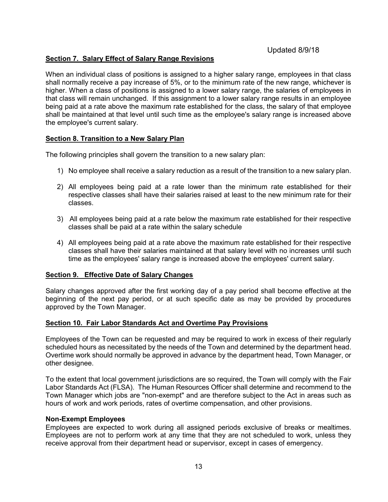### <span id="page-12-0"></span>**Section 7. Salary Effect of Salary Range Revisions**

When an individual class of positions is assigned to a higher salary range, employees in that class shall normally receive a pay increase of 5%, or to the minimum rate of the new range, whichever is higher. When a class of positions is assigned to a lower salary range, the salaries of employees in that class will remain unchanged. If this assignment to a lower salary range results in an employee being paid at a rate above the maximum rate established for the class, the salary of that employee shall be maintained at that level until such time as the employee's salary range is increased above the employee's current salary.

### <span id="page-12-1"></span>**Section 8. Transition to a New Salary Plan**

The following principles shall govern the transition to a new salary plan:

- 1) No employee shall receive a salary reduction as a result of the transition to a new salary plan.
- 2) All employees being paid at a rate lower than the minimum rate established for their respective classes shall have their salaries raised at least to the new minimum rate for their classes.
- 3) All employees being paid at a rate below the maximum rate established for their respective classes shall be paid at a rate within the salary schedule
- 4) All employees being paid at a rate above the maximum rate established for their respective classes shall have their salaries maintained at that salary level with no increases until such time as the employees' salary range is increased above the employees' current salary.

#### <span id="page-12-2"></span>**Section 9. Effective Date of Salary Changes**

Salary changes approved after the first working day of a pay period shall become effective at the beginning of the next pay period, or at such specific date as may be provided by procedures approved by the Town Manager.

#### <span id="page-12-3"></span>**Section 10. Fair Labor Standards Act and Overtime Pay Provisions**

Employees of the Town can be requested and may be required to work in excess of their regularly scheduled hours as necessitated by the needs of the Town and determined by the department head. Overtime work should normally be approved in advance by the department head, Town Manager, or other designee.

To the extent that local government jurisdictions are so required, the Town will comply with the Fair Labor Standards Act (FLSA). The Human Resources Officer shall determine and recommend to the Town Manager which jobs are "non-exempt" and are therefore subject to the Act in areas such as hours of work and work periods, rates of overtime compensation, and other provisions.

#### **Non-Exempt Employees**

Employees are expected to work during all assigned periods exclusive of breaks or mealtimes. Employees are not to perform work at any time that they are not scheduled to work, unless they receive approval from their department head or supervisor, except in cases of emergency.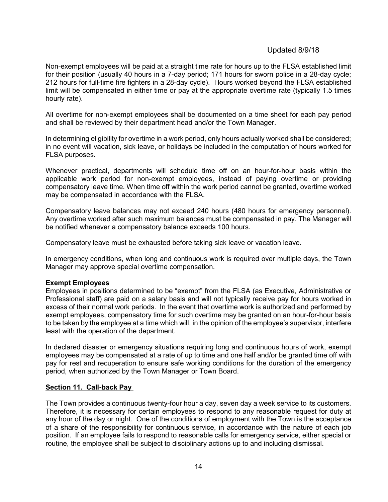Non-exempt employees will be paid at a straight time rate for hours up to the FLSA established limit for their position (usually 40 hours in a 7-day period; 171 hours for sworn police in a 28-day cycle; 212 hours for full-time fire fighters in a 28-day cycle). Hours worked beyond the FLSA established limit will be compensated in either time or pay at the appropriate overtime rate (typically 1.5 times hourly rate).

All overtime for non-exempt employees shall be documented on a time sheet for each pay period and shall be reviewed by their department head and/or the Town Manager.

In determining eligibility for overtime in a work period, only hours actually worked shall be considered; in no event will vacation, sick leave, or holidays be included in the computation of hours worked for FLSA purposes.

Whenever practical, departments will schedule time off on an hour-for-hour basis within the applicable work period for non-exempt employees, instead of paying overtime or providing compensatory leave time. When time off within the work period cannot be granted, overtime worked may be compensated in accordance with the FLSA.

Compensatory leave balances may not exceed 240 hours (480 hours for emergency personnel). Any overtime worked after such maximum balances must be compensated in pay. The Manager will be notified whenever a compensatory balance exceeds 100 hours.

Compensatory leave must be exhausted before taking sick leave or vacation leave.

In emergency conditions, when long and continuous work is required over multiple days, the Town Manager may approve special overtime compensation.

#### **Exempt Employees**

Employees in positions determined to be "exempt" from the FLSA (as Executive, Administrative or Professional staff) are paid on a salary basis and will not typically receive pay for hours worked in excess of their normal work periods. In the event that overtime work is authorized and performed by exempt employees, compensatory time for such overtime may be granted on an hour-for-hour basis to be taken by the employee at a time which will, in the opinion of the employee's supervisor, interfere least with the operation of the department.

In declared disaster or emergency situations requiring long and continuous hours of work, exempt employees may be compensated at a rate of up to time and one half and/or be granted time off with pay for rest and recuperation to ensure safe working conditions for the duration of the emergency period, when authorized by the Town Manager or Town Board.

#### <span id="page-13-0"></span>**Section 11. Call-back Pay**

The Town provides a continuous twenty-four hour a day, seven day a week service to its customers. Therefore, it is necessary for certain employees to respond to any reasonable request for duty at any hour of the day or night. One of the conditions of employment with the Town is the acceptance of a share of the responsibility for continuous service, in accordance with the nature of each job position. If an employee fails to respond to reasonable calls for emergency service, either special or routine, the employee shall be subject to disciplinary actions up to and including dismissal.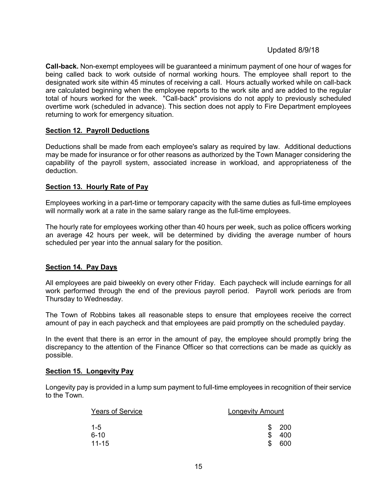**Call-back.** Non-exempt employees will be guaranteed a minimum payment of one hour of wages for being called back to work outside of normal working hours*.* The employee shall report to the designated work site within 45 minutes of receiving a call. Hours actually worked while on call-back are calculated beginning when the employee reports to the work site and are added to the regular total of hours worked for the week. "Call-back" provisions do not apply to previously scheduled overtime work (scheduled in advance). This section does not apply to Fire Department employees returning to work for emergency situation.

### <span id="page-14-0"></span>**Section 12. Payroll Deductions**

Deductions shall be made from each employee's salary as required by law. Additional deductions may be made for insurance or for other reasons as authorized by the Town Manager considering the capability of the payroll system, associated increase in workload, and appropriateness of the deduction.

#### <span id="page-14-1"></span>**Section 13. Hourly Rate of Pay**

Employees working in a part-time or temporary capacity with the same duties as full-time employees will normally work at a rate in the same salary range as the full-time employees.

The hourly rate for employees working other than 40 hours per week, such as police officers working an average 42 hours per week, will be determined by dividing the average number of hours scheduled per year into the annual salary for the position.

#### <span id="page-14-2"></span>**Section 14. Pay Days**

All employees are paid biweekly on every other Friday. Each paycheck will include earnings for all work performed through the end of the previous payroll period. Payroll work periods are from Thursday to Wednesday.

The Town of Robbins takes all reasonable steps to ensure that employees receive the correct amount of pay in each paycheck and that employees are paid promptly on the scheduled payday.

In the event that there is an error in the amount of pay, the employee should promptly bring the discrepancy to the attention of the Finance Officer so that corrections can be made as quickly as possible.

#### **Section 15. Longevity Pay**

Longevity pay is provided in a lump sum payment to full-time employees in recognition of their service to the Town.

| <b>Years of Service</b> | <b>Longevity Amount</b> |
|-------------------------|-------------------------|
| $1 - 5$                 | 200<br>SS.              |
| $6 - 10$                | 400<br>\$.              |
| $11 - 15$               | 600                     |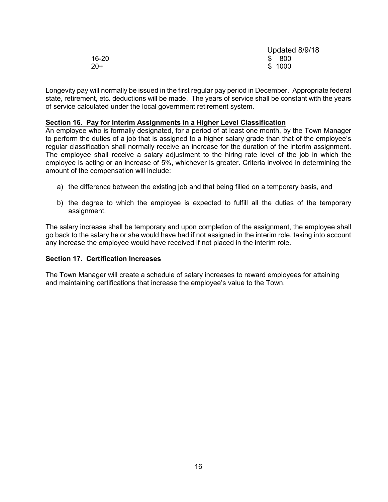|       | Updated 8/9/18 |
|-------|----------------|
| 16-20 | \$ 800         |
| $20+$ | \$1000         |

Longevity pay will normally be issued in the first regular pay period in December. Appropriate federal state, retirement, etc. deductions will be made. The years of service shall be constant with the years of service calculated under the local government retirement system.

#### **Section 16. Pay for Interim Assignments in a Higher Level Classification**

An employee who is formally designated, for a period of at least one month, by the Town Manager to perform the duties of a job that is assigned to a higher salary grade than that of the employee's regular classification shall normally receive an increase for the duration of the interim assignment. The employee shall receive a salary adjustment to the hiring rate level of the job in which the employee is acting or an increase of 5%, whichever is greater. Criteria involved in determining the amount of the compensation will include:

- a) the difference between the existing job and that being filled on a temporary basis, and
- b) the degree to which the employee is expected to fulfill all the duties of the temporary assignment.

The salary increase shall be temporary and upon completion of the assignment, the employee shall go back to the salary he or she would have had if not assigned in the interim role, taking into account any increase the employee would have received if not placed in the interim role.

#### **Section 17. Certification Increases**

The Town Manager will create a schedule of salary increases to reward employees for attaining and maintaining certifications that increase the employee's value to the Town.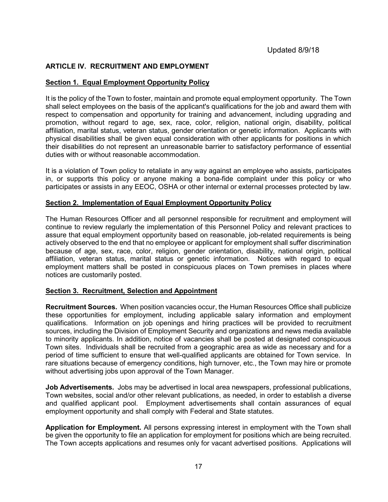### <span id="page-16-0"></span>**ARTICLE IV. RECRUITMENT AND EMPLOYMENT**

### <span id="page-16-1"></span>**Section 1. Equal Employment Opportunity Policy**

It is the policy of the Town to foster, maintain and promote equal employment opportunity. The Town shall select employees on the basis of the applicant's qualifications for the job and award them with respect to compensation and opportunity for training and advancement, including upgrading and promotion, without regard to age, sex, race, color, religion, national origin, disability, political affiliation, marital status, veteran status, gender orientation or genetic information. Applicants with physical disabilities shall be given equal consideration with other applicants for positions in which their disabilities do not represent an unreasonable barrier to satisfactory performance of essential duties with or without reasonable accommodation.

It is a violation of Town policy to retaliate in any way against an employee who assists, participates in, or supports this policy or anyone making a bona-fide complaint under this policy or who participates or assists in any EEOC, OSHA or other internal or external processes protected by law.

#### <span id="page-16-2"></span>**Section 2. Implementation of Equal Employment Opportunity Policy**

The Human Resources Officer and all personnel responsible for recruitment and employment will continue to review regularly the implementation of this Personnel Policy and relevant practices to assure that equal employment opportunity based on reasonable, job-related requirements is being actively observed to the end that no employee or applicant for employment shall suffer discrimination because of age, sex, race, color, religion, gender orientation, disability, national origin, political affiliation, veteran status, marital status or genetic information. Notices with regard to equal employment matters shall be posted in conspicuous places on Town premises in places where notices are customarily posted.

#### <span id="page-16-3"></span>**Section 3. Recruitment, Selection and Appointment**

**Recruitment Sources.** When position vacancies occur, the Human Resources Office shall publicize these opportunities for employment, including applicable salary information and employment qualifications. Information on job openings and hiring practices will be provided to recruitment sources, including the Division of Employment Security and organizations and news media available to minority applicants. In addition, notice of vacancies shall be posted at designated conspicuous Town sites. Individuals shall be recruited from a geographic area as wide as necessary and for a period of time sufficient to ensure that well-qualified applicants are obtained for Town service. In rare situations because of emergency conditions, high turnover, etc., the Town may hire or promote without advertising jobs upon approval of the Town Manager.

**Job Advertisements.** Jobs may be advertised in local area newspapers, professional publications, Town websites, social and/or other relevant publications, as needed, in order to establish a diverse and qualified applicant pool. Employment advertisements shall contain assurances of equal employment opportunity and shall comply with Federal and State statutes.

**Application for Employment.** All persons expressing interest in employment with the Town shall be given the opportunity to file an application for employment for positions which are being recruited. The Town accepts applications and resumes only for vacant advertised positions. Applications will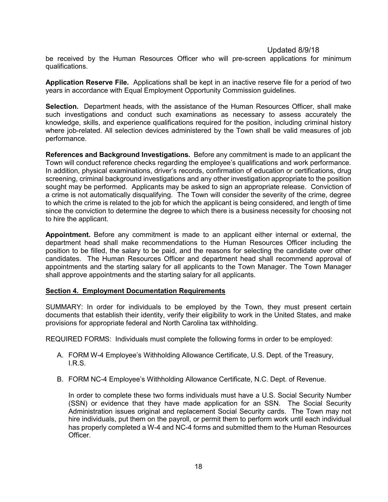be received by the Human Resources Officer who will pre-screen applications for minimum qualifications.

**Application Reserve File.** Applications shall be kept in an inactive reserve file for a period of two years in accordance with Equal Employment Opportunity Commission guidelines.

**Selection.** Department heads, with the assistance of the Human Resources Officer, shall make such investigations and conduct such examinations as necessary to assess accurately the knowledge, skills, and experience qualifications required for the position, including criminal history where job-related. All selection devices administered by the Town shall be valid measures of job performance.

**References and Background Investigations.** Before any commitment is made to an applicant the Town will conduct reference checks regarding the employee's qualifications and work performance. In addition, physical examinations, driver's records, confirmation of education or certifications, drug screening, criminal background investigations and any other investigation appropriate to the position sought may be performed. Applicants may be asked to sign an appropriate release. Conviction of a crime is not automatically disqualifying. The Town will consider the severity of the crime, degree to which the crime is related to the job for which the applicant is being considered, and length of time since the conviction to determine the degree to which there is a business necessity for choosing not to hire the applicant.

**Appointment.** Before any commitment is made to an applicant either internal or external, the department head shall make recommendations to the Human Resources Officer including the position to be filled, the salary to be paid, and the reasons for selecting the candidate over other candidates. The Human Resources Officer and department head shall recommend approval of appointments and the starting salary for all applicants to the Town Manager. The Town Manager shall approve appointments and the starting salary for all applicants.

#### <span id="page-17-0"></span>**Section 4. Employment Documentation Requirements**

SUMMARY: In order for individuals to be employed by the Town, they must present certain documents that establish their identity, verify their eligibility to work in the United States, and make provisions for appropriate federal and North Carolina tax withholding.

REQUIRED FORMS: Individuals must complete the following forms in order to be employed:

- A. FORM W-4 Employee's Withholding Allowance Certificate, U.S. Dept. of the Treasury, I.R.S.
- B. FORM NC-4 Employee's Withholding Allowance Certificate, N.C. Dept. of Revenue.

In order to complete these two forms individuals must have a U.S. Social Security Number (SSN) or evidence that they have made application for an SSN. The Social Security Administration issues original and replacement Social Security cards. The Town may not hire individuals, put them on the payroll, or permit them to perform work until each individual has properly completed a W-4 and NC-4 forms and submitted them to the Human Resources Officer.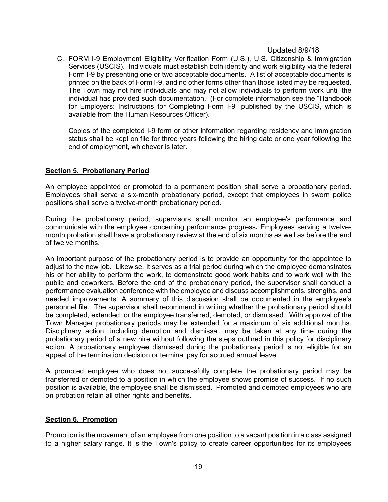C. FORM I-9 Employment Eligibility Verification Form (U.S.), U.S. Citizenship & Immigration Services (USCIS). Individuals must establish both identity and work eligibility via the federal Form I-9 by presenting one or two acceptable documents. A list of acceptable documents is printed on the back of Form I-9, and no other forms other than those listed may be requested. The Town may not hire individuals and may not allow individuals to perform work until the individual has provided such documentation. (For complete information see the "Handbook for Employers: Instructions for Completing Form I-9" published by the USCIS, which is available from the Human Resources Officer).

Copies of the completed I-9 form or other information regarding residency and immigration status shall be kept on file for three years following the hiring date or one year following the end of employment, whichever is later.

#### <span id="page-18-0"></span>**Section 5. Probationary Period**

An employee appointed or promoted to a permanent position shall serve a probationary period. Employees shall serve a six-month probationary period, except that employees in sworn police positions shall serve a twelve-month probationary period.

During the probationary period, supervisors shall monitor an employee's performance and communicate with the employee concerning performance progress**.** Employees serving a twelvemonth probation shall have a probationary review at the end of six months as well as before the end of twelve months.

An important purpose of the probationary period is to provide an opportunity for the appointee to adjust to the new job. Likewise, it serves as a trial period during which the employee demonstrates his or her ability to perform the work, to demonstrate good work habits and to work well with the public and coworkers. Before the end of the probationary period, the supervisor shall conduct a performance evaluation conference with the employee and discuss accomplishments, strengths, and needed improvements. A summary of this discussion shall be documented in the employee's personnel file. The supervisor shall recommend in writing whether the probationary period should be completed, extended, or the employee transferred, demoted, or dismissed. With approval of the Town Manager probationary periods may be extended for a maximum of six additional months. Disciplinary action, including demotion and dismissal, may be taken at any time during the probationary period of a new hire without following the steps outlined in this policy for disciplinary action. A probationary employee dismissed during the probationary period is not eligible for an appeal of the termination decision or terminal pay for accrued annual leave

A promoted employee who does not successfully complete the probationary period may be transferred or demoted to a position in which the employee shows promise of success. If no such position is available, the employee shall be dismissed. Promoted and demoted employees who are on probation retain all other rights and benefits.

#### <span id="page-18-1"></span>**Section 6. Promotion**

Promotion is the movement of an employee from one position to a vacant position in a class assigned to a higher salary range. It is the Town's policy to create career opportunities for its employees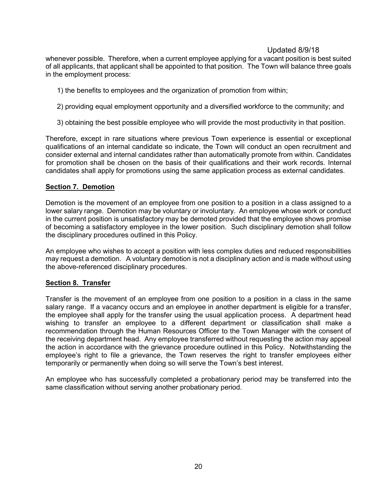whenever possible. Therefore, when a current employee applying for a vacant position is best suited of all applicants, that applicant shall be appointed to that position. The Town will balance three goals in the employment process:

- 1) the benefits to employees and the organization of promotion from within;
- 2) providing equal employment opportunity and a diversified workforce to the community; and
- 3) obtaining the best possible employee who will provide the most productivity in that position.

Therefore, except in rare situations where previous Town experience is essential or exceptional qualifications of an internal candidate so indicate, the Town will conduct an open recruitment and consider external and internal candidates rather than automatically promote from within. Candidates for promotion shall be chosen on the basis of their qualifications and their work records. Internal candidates shall apply for promotions using the same application process as external candidates.

### <span id="page-19-0"></span>**Section 7. Demotion**

Demotion is the movement of an employee from one position to a position in a class assigned to a lower salary range. Demotion may be voluntary or involuntary. An employee whose work or conduct in the current position is unsatisfactory may be demoted provided that the employee shows promise of becoming a satisfactory employee in the lower position. Such disciplinary demotion shall follow the disciplinary procedures outlined in this Policy.

An employee who wishes to accept a position with less complex duties and reduced responsibilities may request a demotion. A voluntary demotion is not a disciplinary action and is made without using the above-referenced disciplinary procedures.

### <span id="page-19-1"></span>**Section 8. Transfer**

Transfer is the movement of an employee from one position to a position in a class in the same salary range. If a vacancy occurs and an employee in another department is eligible for a transfer, the employee shall apply for the transfer using the usual application process. A department head wishing to transfer an employee to a different department or classification shall make a recommendation through the Human Resources Officer to the Town Manager with the consent of the receiving department head. Any employee transferred without requesting the action may appeal the action in accordance with the grievance procedure outlined in this Policy. Notwithstanding the employee's right to file a grievance, the Town reserves the right to transfer employees either temporarily or permanently when doing so will serve the Town's best interest.

An employee who has successfully completed a probationary period may be transferred into the same classification without serving another probationary period.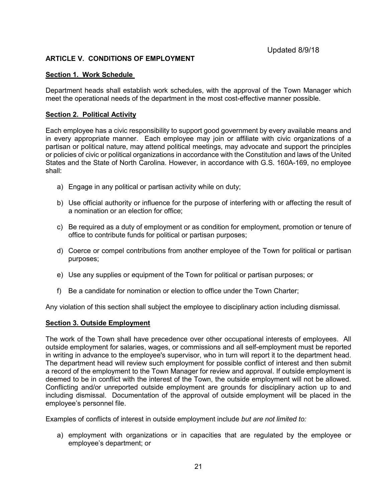### <span id="page-20-0"></span>**ARTICLE V. CONDITIONS OF EMPLOYMENT**

### <span id="page-20-1"></span>**Section 1. Work Schedule**

Department heads shall establish work schedules, with the approval of the Town Manager which meet the operational needs of the department in the most cost-effective manner possible.

### <span id="page-20-2"></span>**Section 2. Political Activity**

Each employee has a civic responsibility to support good government by every available means and in every appropriate manner. Each employee may join or affiliate with civic organizations of a partisan or political nature, may attend political meetings, may advocate and support the principles or policies of civic or political organizations in accordance with the Constitution and laws of the United States and the State of North Carolina. However, in accordance with G.S. 160A-169, no employee shall:

- a) Engage in any political or partisan activity while on duty;
- b) Use official authority or influence for the purpose of interfering with or affecting the result of a nomination or an election for office;
- c) Be required as a duty of employment or as condition for employment, promotion or tenure of office to contribute funds for political or partisan purposes;
- d) Coerce or compel contributions from another employee of the Town for political or partisan purposes;
- e) Use any supplies or equipment of the Town for political or partisan purposes; or
- f) Be a candidate for nomination or election to office under the Town Charter;

Any violation of this section shall subject the employee to disciplinary action including dismissal.

#### <span id="page-20-3"></span>**Section 3. Outside Employment**

The work of the Town shall have precedence over other occupational interests of employees. All outside employment for salaries, wages, or commissions and all self-employment must be reported in writing in advance to the employee's supervisor, who in turn will report it to the department head. The department head will review such employment for possible conflict of interest and then submit a record of the employment to the Town Manager for review and approval. If outside employment is deemed to be in conflict with the interest of the Town, the outside employment will not be allowed. Conflicting and/or unreported outside employment are grounds for disciplinary action up to and including dismissal. Documentation of the approval of outside employment will be placed in the employee's personnel file.

Examples of conflicts of interest in outside employment include *but are not limited to:*

a) employment with organizations or in capacities that are regulated by the employee or employee's department; or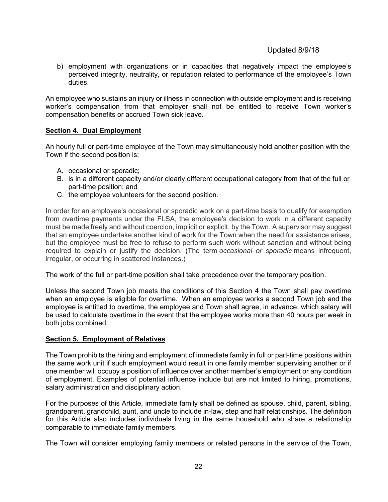b) employment with organizations or in capacities that negatively impact the employee's perceived integrity, neutrality, or reputation related to performance of the employee's Town duties.

An employee who sustains an injury or illness in connection with outside employment and is receiving worker's compensation from that employer shall not be entitled to receive Town worker's compensation benefits or accrued Town sick leave.

### <span id="page-21-0"></span>**Section 4. Dual Employment**

An hourly full or part-time employee of the Town may simultaneously hold another position with the Town if the second position is:

- A. occasional or sporadic;
- B. is in a different capacity and/or clearly different occupational category from that of the full or part-time position; and
- C. the employee volunteers for the second position.

In order for an employee's occasional or sporadic work on a part-time basis to qualify for exemption from overtime payments under the FLSA, the employee's decision to work in a different capacity must be made freely and without coercion, implicit or explicit, by the Town. A supervisor may suggest that an employee undertake another kind of work for the Town when the need for assistance arises, but the employee must be free to refuse to perform such work without sanction and without being required to explain or justify the decision. (The term *occasional or sporadic* means infrequent, irregular, or occurring in scattered instances.)

The work of the full or part-time position shall take precedence over the temporary position.

Unless the second Town job meets the conditions of this Section 4 the Town shall pay overtime when an employee is eligible for overtime. When an employee works a second Town job and the employee is entitled to overtime, the employee and Town shall agree, in advance, which salary will be used to calculate overtime in the event that the employee works more than 40 hours per week in both jobs combined.

#### <span id="page-21-1"></span>**Section 5. Employment of Relatives**

The Town prohibits the hiring and employment of immediate family in full or part-time positions within the same work unit if such employment would result in one family member supervising another or if one member will occupy a position of influence over another member's employment or any condition of employment. Examples of potential influence include but are not limited to hiring, promotions, salary administration and disciplinary action.

For the purposes of this Article, immediate family shall be defined as spouse, child, parent, sibling, grandparent, grandchild, aunt, and uncle to include in-law, step and half relationships. The definition for this Article also includes individuals living in the same household who share a relationship comparable to immediate family members.

The Town will consider employing family members or related persons in the service of the Town,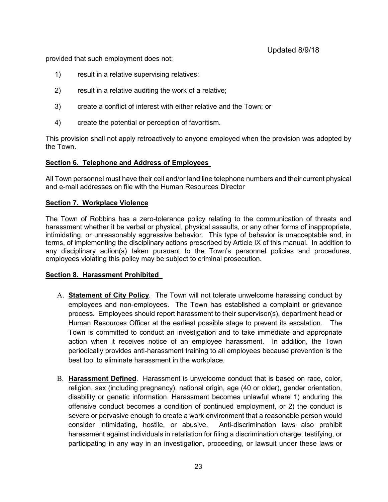provided that such employment does not:

- 1) result in a relative supervising relatives;
- 2) result in a relative auditing the work of a relative;
- 3) create a conflict of interest with either relative and the Town; or
- 4) create the potential or perception of favoritism.

This provision shall not apply retroactively to anyone employed when the provision was adopted by the Town.

### <span id="page-22-0"></span>**Section 6. Telephone and Address of Employees**

All Town personnel must have their cell and/or land line telephone numbers and their current physical and e-mail addresses on file with the Human Resources Director

### **Section 7. Workplace Violence**

The Town of Robbins has a zero-tolerance policy relating to the communication of threats and harassment whether it be verbal or physical, physical assaults, or any other forms of inappropriate, intimidating, or unreasonably aggressive behavior. This type of behavior is unacceptable and, in terms, of implementing the disciplinary actions prescribed by Article IX of this manual. In addition to any disciplinary action(s) taken pursuant to the Town's personnel policies and procedures, employees violating this policy may be subject to criminal prosecution.

### **Section 8. Harassment Prohibited**

- A. **Statement of City Policy**. The Town will not tolerate unwelcome harassing conduct by employees and non-employees. The Town has established a complaint or grievance process. Employees should report harassment to their supervisor(s), department head or Human Resources Officer at the earliest possible stage to prevent its escalation. The Town is committed to conduct an investigation and to take immediate and appropriate action when it receives notice of an employee harassment. In addition, the Town periodically provides anti-harassment training to all employees because prevention is the best tool to eliminate harassment in the workplace.
- B. **Harassment Defined**. Harassment is unwelcome conduct that is based on race, color, religion, sex (including pregnancy), national origin, age (40 or older), gender orientation, disability or genetic information. Harassment becomes unlawful where 1) enduring the offensive conduct becomes a condition of continued employment, or 2) the conduct is severe or pervasive enough to create a work environment that a reasonable person would consider intimidating, hostile, or abusive. Anti-discrimination laws also prohibit harassment against individuals in retaliation for filing a discrimination charge, testifying, or participating in any way in an investigation, proceeding, or lawsuit under these laws or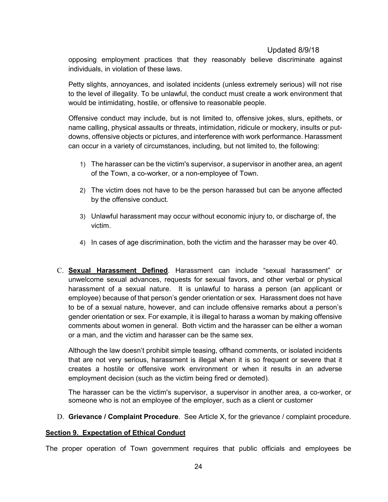opposing employment practices that they reasonably believe discriminate against individuals, in violation of these laws.

Petty slights, annoyances, and isolated incidents (unless extremely serious) will not rise to the level of illegality. To be unlawful, the conduct must create a work environment that would be intimidating, hostile, or offensive to reasonable people.

Offensive conduct may include, but is not limited to, offensive jokes, slurs, epithets, or name calling, physical assaults or threats, intimidation, ridicule or mockery, insults or putdowns, offensive objects or pictures, and interference with work performance. Harassment can occur in a variety of circumstances, including, but not limited to, the following:

- 1) The harasser can be the victim's supervisor, a supervisor in another area, an agent of the Town, a co-worker, or a non-employee of Town.
- 2) The victim does not have to be the person harassed but can be anyone affected by the offensive conduct.
- 3) Unlawful harassment may occur without economic injury to, or discharge of, the victim.
- 4) In cases of age discrimination, both the victim and the harasser may be over 40.
- C. **Sexual Harassment Defined**. Harassment can include "sexual harassment" or unwelcome sexual advances, requests for sexual favors, and other verbal or physical harassment of a sexual nature. It is unlawful to harass a person (an applicant or employee) because of that person's gender orientation or sex. Harassment does not have to be of a sexual nature, however, and can include offensive remarks about a person's gender orientation or sex. For example, it is illegal to harass a woman by making offensive comments about women in general. Both victim and the harasser can be either a woman or a man, and the victim and harasser can be the same sex.

Although the law doesn't prohibit simple teasing, offhand comments, or isolated incidents that are not very serious, harassment is illegal when it is so frequent or severe that it creates a hostile or offensive work environment or when it results in an adverse employment decision (such as the victim being fired or demoted).

The harasser can be the victim's supervisor, a supervisor in another area, a co-worker, or someone who is not an employee of the employer, such as a client or customer

D. **Grievance / Complaint Procedure**. See Article X, for the grievance / complaint procedure.

### <span id="page-23-0"></span>**Section 9. Expectation of Ethical Conduct**

The proper operation of Town government requires that public officials and employees be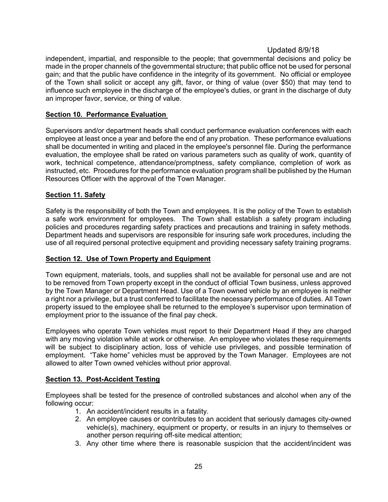independent, impartial, and responsible to the people; that governmental decisions and policy be made in the proper channels of the governmental structure; that public office not be used for personal gain; and that the public have confidence in the integrity of its government. No official or employee of the Town shall solicit or accept any gift, favor, or thing of value (over \$50) that may tend to influence such employee in the discharge of the employee's duties, or grant in the discharge of duty an improper favor, service, or thing of value.

### <span id="page-24-0"></span>**Section 10. Performance Evaluation**

Supervisors and/or department heads shall conduct performance evaluation conferences with each employee at least once a year and before the end of any probation. These performance evaluations shall be documented in writing and placed in the employee's personnel file. During the performance evaluation, the employee shall be rated on various parameters such as quality of work, quantity of work, technical competence, attendance/promptness, safety compliance, completion of work as instructed, etc. Procedures for the performance evaluation program shall be published by the Human Resources Officer with the approval of the Town Manager.

### <span id="page-24-1"></span>**Section 11. Safety**

Safety is the responsibility of both the Town and employees. It is the policy of the Town to establish a safe work environment for employees. The Town shall establish a safety program including policies and procedures regarding safety practices and precautions and training in safety methods. Department heads and supervisors are responsible for insuring safe work procedures, including the use of all required personal protective equipment and providing necessary safety training programs.

### <span id="page-24-2"></span>**Section 12. Use of Town Property and Equipment**

Town equipment, materials, tools, and supplies shall not be available for personal use and are not to be removed from Town property except in the conduct of official Town business, unless approved by the Town Manager or Department Head. Use of a Town owned vehicle by an employee is neither a right nor a privilege, but a trust conferred to facilitate the necessary performance of duties. All Town property issued to the employee shall be returned to the employee's supervisor upon termination of employment prior to the issuance of the final pay check.

Employees who operate Town vehicles must report to their Department Head if they are charged with any moving violation while at work or otherwise. An employee who violates these requirements will be subject to disciplinary action, loss of vehicle use privileges, and possible termination of employment. "Take home" vehicles must be approved by the Town Manager. Employees are not allowed to alter Town owned vehicles without prior approval.

### **Section 13. Post-Accident Testing**

Employees shall be tested for the presence of controlled substances and alcohol when any of the following occur:

- 1. An accident/incident results in a fatality.
- 2. An employee causes or contributes to an accident that seriously damages city-owned vehicle(s), machinery, equipment or property, or results in an injury to themselves or another person requiring off-site medical attention;
- 3. Any other time where there is reasonable suspicion that the accident/incident was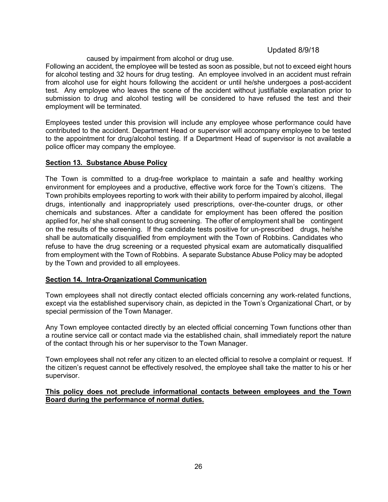### caused by impairment from alcohol or drug use.

Following an accident, the employee will be tested as soon as possible, but not to exceed eight hours for alcohol testing and 32 hours for drug testing. An employee involved in an accident must refrain from alcohol use for eight hours following the accident or until he/she undergoes a post-accident test. Any employee who leaves the scene of the accident without justifiable explanation prior to submission to drug and alcohol testing will be considered to have refused the test and their employment will be terminated.

Employees tested under this provision will include any employee whose performance could have contributed to the accident. Department Head or supervisor will accompany employee to be tested to the appointment for drug/alcohol testing. If a Department Head of supervisor is not available a police officer may company the employee.

### **Section 13. Substance Abuse Policy**

The Town is committed to a drug-free workplace to maintain a safe and healthy working environment for employees and a productive, effective work force for the Town's citizens. The Town prohibits employees reporting to work with their ability to perform impaired by alcohol, illegal drugs, intentionally and inappropriately used prescriptions, over-the-counter drugs, or other chemicals and substances. After a candidate for employment has been offered the position applied for, he/ she shall consent to drug screening. The offer of employment shall be contingent on the results of the screening. If the candidate tests positive for un-prescribed drugs, he/she shall be automatically disqualified from employment with the Town of Robbins. Candidates who refuse to have the drug screening or a requested physical exam are automatically disqualified from employment with the Town of Robbins. A separate Substance Abuse Policy may be adopted by the Town and provided to all employees.

### **Section 14. Intra-Organizational Communication**

Town employees shall not directly contact elected officials concerning any work-related functions, except via the established supervisory chain, as depicted in the Town's Organizational Chart, or by special permission of the Town Manager.

Any Town employee contacted directly by an elected official concerning Town functions other than a routine service call or contact made via the established chain, shall immediately report the nature of the contact through his or her supervisor to the Town Manager.

Town employees shall not refer any citizen to an elected official to resolve a complaint or request. If the citizen's request cannot be effectively resolved, the employee shall take the matter to his or her supervisor.

### <span id="page-25-0"></span>**This policy does not preclude informational contacts between employees and the Town Board during the performance of normal duties.**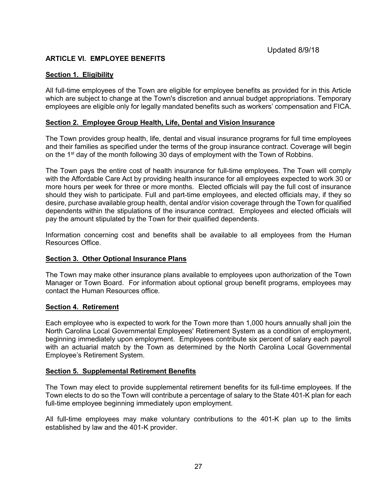### **ARTICLE VI. EMPLOYEE BENEFITS**

### <span id="page-26-0"></span>**Section 1. Eligibility**

All full-time employees of the Town are eligible for employee benefits as provided for in this Article which are subject to change at the Town's discretion and annual budget appropriations. Temporary employees are eligible only for legally mandated benefits such as workers' compensation and FICA.

### <span id="page-26-1"></span>**Section 2. Employee Group Health, Life, Dental and Vision Insurance**

The Town provides group health, life, dental and visual insurance programs for full time employees and their families as specified under the terms of the group insurance contract. Coverage will begin on the 1<sup>st</sup> day of the month following 30 days of employment with the Town of Robbins.

The Town pays the entire cost of health insurance for full-time employees. The Town will comply with the Affordable Care Act by providing health insurance for all employees expected to work 30 or more hours per week for three or more months. Elected officials will pay the full cost of insurance should they wish to participate. Full and part-time employees, and elected officials may, if they so desire, purchase available group health, dental and/or vision coverage through the Town for qualified dependents within the stipulations of the insurance contract. Employees and elected officials will pay the amount stipulated by the Town for their qualified dependents.

Information concerning cost and benefits shall be available to all employees from the Human Resources Office.

### <span id="page-26-2"></span>**Section 3. Other Optional Insurance Plans**

The Town may make other insurance plans available to employees upon authorization of the Town Manager or Town Board. For information about optional group benefit programs, employees may contact the Human Resources office.

#### <span id="page-26-3"></span>**Section 4. Retirement**

Each employee who is expected to work for the Town more than 1,000 hours annually shall join the North Carolina Local Governmental Employees' Retirement System as a condition of employment, beginning immediately upon employment. Employees contribute six percent of salary each payroll with an actuarial match by the Town as determined by the North Carolina Local Governmental Employee's Retirement System.

#### <span id="page-26-4"></span>**Section 5. Supplemental Retirement Benefits**

The Town may elect to provide supplemental retirement benefits for its full-time employees. If the Town elects to do so the Town will contribute a percentage of salary to the State 401-K plan for each full-time employee beginning immediately upon employment.

All full-time employees may make voluntary contributions to the 401-K plan up to the limits established by law and the 401-K provider.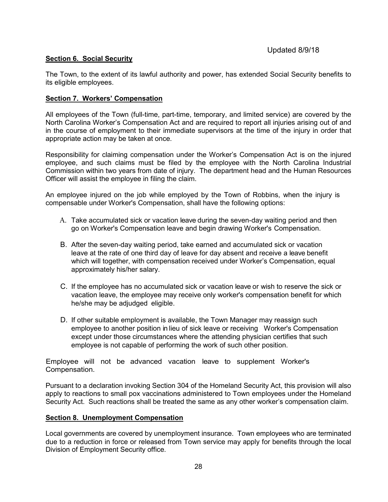### <span id="page-27-0"></span>**Section 6. Social Security**

The Town, to the extent of its lawful authority and power, has extended Social Security benefits to its eligible employees.

### <span id="page-27-1"></span>**Section 7. Workers' Compensation**

All employees of the Town (full-time, part-time, temporary, and limited service) are covered by the North Carolina Worker's Compensation Act and are required to report all injuries arising out of and in the course of employment to their immediate supervisors at the time of the injury in order that appropriate action may be taken at once.

Responsibility for claiming compensation under the Worker's Compensation Act is on the injured employee, and such claims must be filed by the employee with the North Carolina Industrial Commission within two years from date of injury. The department head and the Human Resources Officer will assist the employee in filing the claim.

An employee injured on the job while employed by the Town of Robbins, when the injury is compensable under Worker's Compensation, shall have the following options:

- A. Take accumulated sick or vacation leave during the seven-day waiting period and then go on Worker's Compensation leave and begin drawing Worker's Compensation.
- B. After the seven-day waiting period, take earned and accumulated sick or vacation leave at the rate of one third day of leave for day absent and receive a leave benefit which will together, with compensation received under Worker's Compensation, equal approximately his/her salary.
- C. If the employee has no accumulated sick or vacation leave or wish to reserve the sick or vacation leave, the employee may receive only worker's compensation benefit for which he/she may be adjudged eligible.
- D. If other suitable employment is available, the Town Manager may reassign such employee to another position in lieu of sick leave or receiving Worker's Compensation except under those circumstances where the attending physician certifies that such employee is not capable of performing the work of such other position.

Employee will not be advanced vacation leave to supplement Worker's Compensation.

Pursuant to a declaration invoking Section 304 of the Homeland Security Act, this provision will also apply to reactions to small pox vaccinations administered to Town employees under the Homeland Security Act. Such reactions shall be treated the same as any other worker's compensation claim.

### <span id="page-27-2"></span>**Section 8. Unemployment Compensation**

Local governments are covered by unemployment insurance. Town employees who are terminated due to a reduction in force or released from Town service may apply for benefits through the local Division of Employment Security office.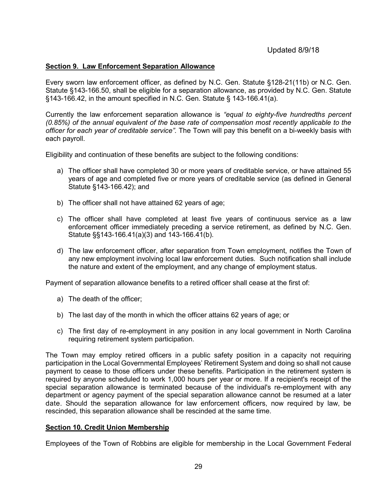### <span id="page-28-0"></span>**Section 9. Law Enforcement Separation Allowance**

Every sworn law enforcement officer, as defined by N.C. Gen. Statute §128-21(11b) or N.C. Gen. Statute §143-166.50, shall be eligible for a separation allowance, as provided by N.C. Gen. Statute §143-166.42, in the amount specified in N.C. Gen. Statute § 143-166.41(a).

Currently the law enforcement separation allowance is *"equal to eighty-five hundredths percent (0.85%) of the annual equivalent of the base rate of compensation most recently applicable to the officer for each year of creditable service"*. The Town will pay this benefit on a bi-weekly basis with each payroll.

Eligibility and continuation of these benefits are subject to the following conditions:

- a) The officer shall have completed 30 or more years of creditable service, or have attained 55 years of age and completed five or more years of creditable service (as defined in General Statute §143-166.42); and
- b) The officer shall not have attained 62 years of age;
- c) The officer shall have completed at least five years of continuous service as a law enforcement officer immediately preceding a service retirement, as defined by N.C. Gen. Statute §§143-166.41(a)(3) and 143-166.41(b).
- d) The law enforcement officer, after separation from Town employment, notifies the Town of any new employment involving local law enforcement duties. Such notification shall include the nature and extent of the employment, and any change of employment status.

Payment of separation allowance benefits to a retired officer shall cease at the first of:

- a) The death of the officer;
- b) The last day of the month in which the officer attains 62 years of age; or
- c) The first day of re-employment in any position in any local government in North Carolina requiring retirement system participation.

The Town may employ retired officers in a public safety position in a capacity not requiring participation in the Local Governmental Employees' Retirement System and doing so shall not cause payment to cease to those officers under these benefits. Participation in the retirement system is required by anyone scheduled to work 1,000 hours per year or more. If a recipient's receipt of the special separation allowance is terminated because of the individual's re-employment with any department or agency payment of the special separation allowance cannot be resumed at a later date. Should the separation allowance for law enforcement officers, now required by law, be rescinded, this separation allowance shall be rescinded at the same time.

#### <span id="page-28-1"></span>**Section 10. Credit Union Membership**

Employees of the Town of Robbins are eligible for membership in the Local Government Federal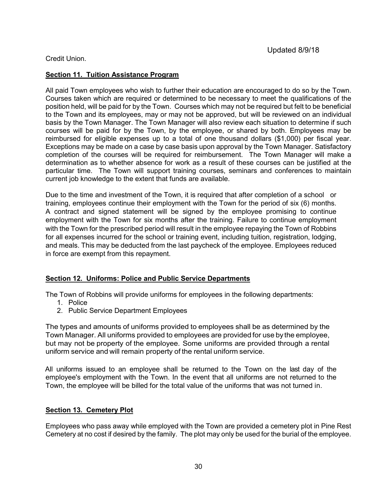### Credit Union.

### <span id="page-29-0"></span>**Section 11. Tuition Assistance Program**

All paid Town employees who wish to further their education are encouraged to do so by the Town. Courses taken which are required or determined to be necessary to meet the qualifications of the position held, will be paid for by the Town. Courses which may not be required but felt to be beneficial to the Town and its employees, may or may not be approved, but will be reviewed on an individual basis by the Town Manager. The Town Manager will also review each situation to determine if such courses will be paid for by the Town, by the employee, or shared by both. Employees may be reimbursed for eligible expenses up to a total of one thousand dollars (\$1,000) per fiscal year. Exceptions may be made on a case by case basis upon approval by the Town Manager. Satisfactory completion of the courses will be required for reimbursement. The Town Manager will make a determination as to whether absence for work as a result of these courses can be justified at the particular time. The Town will support training courses, seminars and conferences to maintain current job knowledge to the extent that funds are available.

Due to the time and investment of the Town, it is required that after completion of a school or training, employees continue their employment with the Town for the period of six (6) months. A contract and signed statement will be signed by the employee promising to continue employment with the Town for six months after the training. Failure to continue employment with the Town for the prescribed period will result in the employee repaying the Town of Robbins for all expenses incurred for the school or training event, including tuition, registration, lodging, and meals. This may be deducted from the last paycheck of the employee. Employees reduced in force are exempt from this repayment.

### <span id="page-29-1"></span>**Section 12. Uniforms: Police and Public Service Departments**

The Town of Robbins will provide uniforms for employees in the following departments:

- 1. Police
- 2. Public Service Department Employees

The types and amounts of uniforms provided to employees shall be as determined by the Town Manager. All uniforms provided to employees are provided for use by the employee, but may not be property of the employee. Some uniforms are provided through a rental uniform service and will remain property of the rental uniform service.

All uniforms issued to an employee shall be returned to the Town on the last day of the employee's employment with the Town. In the event that all uniforms are not returned to the Town, the employee will be billed for the total value of the uniforms that was not turned in.

### **Section 13. Cemetery Plot**

Employees who pass away while employed with the Town are provided a cemetery plot in Pine Rest Cemetery at no cost if desired by the family. The plot may only be used for the burial of the employee.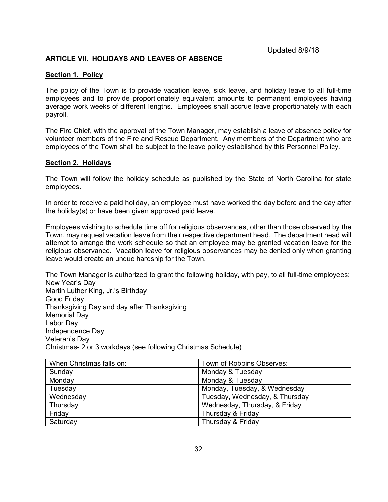### **ARTICLE VII. HOLIDAYS AND LEAVES OF ABSENCE**

#### <span id="page-31-0"></span>**Section 1. Policy**

The policy of the Town is to provide vacation leave, sick leave, and holiday leave to all full-time employees and to provide proportionately equivalent amounts to permanent employees having average work weeks of different lengths. Employees shall accrue leave proportionately with each payroll.

The Fire Chief, with the approval of the Town Manager, may establish a leave of absence policy for volunteer members of the Fire and Rescue Department. Any members of the Department who are employees of the Town shall be subject to the leave policy established by this Personnel Policy.

#### <span id="page-31-1"></span>**Section 2. Holidays**

The Town will follow the holiday schedule as published by the State of North Carolina for state employees.

In order to receive a paid holiday, an employee must have worked the day before and the day after the holiday(s) or have been given approved paid leave.

Employees wishing to schedule time off for religious observances, other than those observed by the Town, may request vacation leave from their respective department head. The department head will attempt to arrange the work schedule so that an employee may be granted vacation leave for the religious observance. Vacation leave for religious observances may be denied only when granting leave would create an undue hardship for the Town.

The Town Manager is authorized to grant the following holiday, with pay, to all full-time employees: New Year's Day Martin Luther King, Jr.'s Birthday Good Friday Thanksgiving Day and day after Thanksgiving Memorial Day Labor Day Independence Day Veteran's Day Christmas- 2 or 3 workdays (see following Christmas Schedule)

| When Christmas falls on: | Town of Robbins Observes:      |
|--------------------------|--------------------------------|
| Sunday                   | Monday & Tuesday               |
| Monday                   | Monday & Tuesday               |
| Tuesday                  | Monday, Tuesday, & Wednesday   |
| Wednesday                | Tuesday, Wednesday, & Thursday |
| Thursday                 | Wednesday, Thursday, & Friday  |
| Friday                   | Thursday & Friday              |
| Saturday                 | Thursday & Friday              |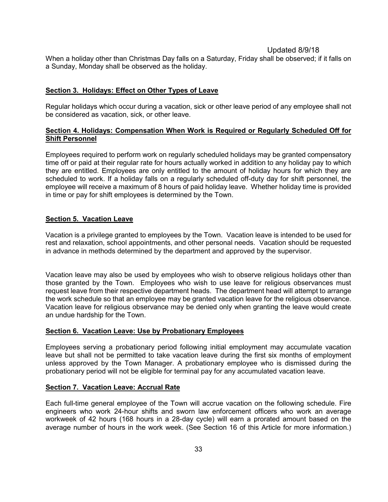When a holiday other than Christmas Day falls on a Saturday, Friday shall be observed; if it falls on a Sunday, Monday shall be observed as the holiday.

### <span id="page-32-0"></span>**Section 3. Holidays: Effect on Other Types of Leave**

Regular holidays which occur during a vacation, sick or other leave period of any employee shall not be considered as vacation, sick, or other leave.

### <span id="page-32-1"></span>**Section 4. Holidays: Compensation When Work is Required or Regularly Scheduled Off for Shift Personnel**

Employees required to perform work on regularly scheduled holidays may be granted compensatory time off or paid at their regular rate for hours actually worked in addition to any holiday pay to which they are entitled. Employees are only entitled to the amount of holiday hours for which they are scheduled to work. If a holiday falls on a regularly scheduled off-duty day for shift personnel, the employee will receive a maximum of 8 hours of paid holiday leave. Whether holiday time is provided in time or pay for shift employees is determined by the Town.

### <span id="page-32-2"></span>**Section 5. Vacation Leave**

Vacation is a privilege granted to employees by the Town. Vacation leave is intended to be used for rest and relaxation, school appointments, and other personal needs. Vacation should be requested in advance in methods determined by the department and approved by the supervisor.

Vacation leave may also be used by employees who wish to observe religious holidays other than those granted by the Town. Employees who wish to use leave for religious observances must request leave from their respective department heads. The department head will attempt to arrange the work schedule so that an employee may be granted vacation leave for the religious observance. Vacation leave for religious observance may be denied only when granting the leave would create an undue hardship for the Town.

#### <span id="page-32-3"></span>**Section 6. Vacation Leave: Use by Probationary Employees**

Employees serving a probationary period following initial employment may accumulate vacation leave but shall not be permitted to take vacation leave during the first six months of employment unless approved by the Town Manager. A probationary employee who is dismissed during the probationary period will not be eligible for terminal pay for any accumulated vacation leave.

#### <span id="page-32-4"></span>**Section 7. Vacation Leave: Accrual Rate**

Each full-time general employee of the Town will accrue vacation on the following schedule. Fire engineers who work 24-hour shifts and sworn law enforcement officers who work an average workweek of 42 hours (168 hours in a 28-day cycle) will earn a prorated amount based on the average number of hours in the work week. (See Section 16 of this Article for more information.)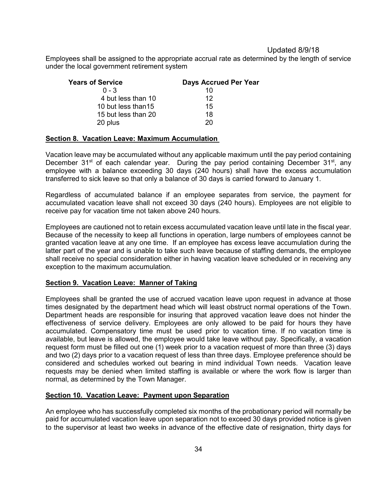Employees shall be assigned to the appropriate accrual rate as determined by the length of service under the local government retirement system

| <b>Years of Service</b> | <b>Days Accrued Per Year</b> |
|-------------------------|------------------------------|
| $0 - 3$                 | 10                           |
| 4 but less than 10      | 12                           |
| 10 but less than 15     | 15                           |
| 15 but less than 20     | 18                           |
| 20 plus                 | 20                           |

#### <span id="page-33-0"></span>**Section 8. Vacation Leave: Maximum Accumulation**

Vacation leave may be accumulated without any applicable maximum until the pay period containing December  $31^{st}$  of each calendar year. During the pay period containing December  $31^{st}$ , any employee with a balance exceeding 30 days (240 hours) shall have the excess accumulation transferred to sick leave so that only a balance of 30 days is carried forward to January 1.

Regardless of accumulated balance if an employee separates from service, the payment for accumulated vacation leave shall not exceed 30 days (240 hours). Employees are not eligible to receive pay for vacation time not taken above 240 hours.

Employees are cautioned not to retain excess accumulated vacation leave until late in the fiscal year. Because of the necessity to keep all functions in operation, large numbers of employees cannot be granted vacation leave at any one time. If an employee has excess leave accumulation during the latter part of the year and is unable to take such leave because of staffing demands, the employee shall receive no special consideration either in having vacation leave scheduled or in receiving any exception to the maximum accumulation.

#### <span id="page-33-1"></span>**Section 9. Vacation Leave: Manner of Taking**

Employees shall be granted the use of accrued vacation leave upon request in advance at those times designated by the department head which will least obstruct normal operations of the Town. Department heads are responsible for insuring that approved vacation leave does not hinder the effectiveness of service delivery. Employees are only allowed to be paid for hours they have accumulated. Compensatory time must be used prior to vacation time. If no vacation time is available, but leave is allowed, the employee would take leave without pay. Specifically, a vacation request form must be filled out one (1) week prior to a vacation request of more than three (3) days and two (2) days prior to a vacation request of less than three days. Employee preference should be considered and schedules worked out bearing in mind individual Town needs. Vacation leave requests may be denied when limited staffing is available or where the work flow is larger than normal, as determined by the Town Manager.

#### <span id="page-33-2"></span>**Section 10. Vacation Leave: Payment upon Separation**

An employee who has successfully completed six months of the probationary period will normally be paid for accumulated vacation leave upon separation not to exceed 30 days provided notice is given to the supervisor at least two weeks in advance of the effective date of resignation, thirty days for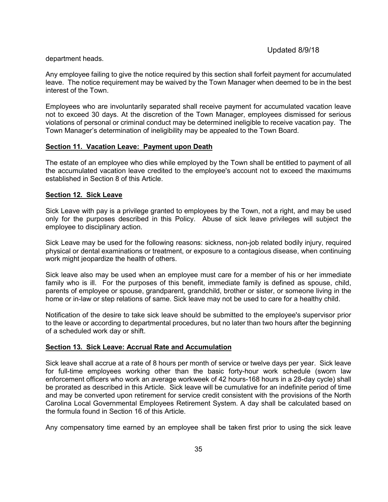#### department heads.

Any employee failing to give the notice required by this section shall forfeit payment for accumulated leave. The notice requirement may be waived by the Town Manager when deemed to be in the best interest of the Town.

Employees who are involuntarily separated shall receive payment for accumulated vacation leave not to exceed 30 days. At the discretion of the Town Manager, employees dismissed for serious violations of personal or criminal conduct may be determined ineligible to receive vacation pay. The Town Manager's determination of ineligibility may be appealed to the Town Board.

### <span id="page-34-0"></span>**Section 11. Vacation Leave: Payment upon Death**

The estate of an employee who dies while employed by the Town shall be entitled to payment of all the accumulated vacation leave credited to the employee's account not to exceed the maximums established in Section 8 of this Article.

### <span id="page-34-1"></span>**Section 12. Sick Leave**

Sick Leave with pay is a privilege granted to employees by the Town, not a right, and may be used only for the purposes described in this Policy. Abuse of sick leave privileges will subject the employee to disciplinary action.

Sick Leave may be used for the following reasons: sickness, non-job related bodily injury, required physical or dental examinations or treatment, or exposure to a contagious disease, when continuing work might jeopardize the health of others.

Sick leave also may be used when an employee must care for a member of his or her immediate family who is ill. For the purposes of this benefit, immediate family is defined as spouse, child, parents of employee or spouse, grandparent, grandchild, brother or sister, or someone living in the home or in-law or step relations of same. Sick leave may not be used to care for a healthy child.

Notification of the desire to take sick leave should be submitted to the employee's supervisor prior to the leave or according to departmental procedures, but no later than two hours after the beginning of a scheduled work day or shift.

### <span id="page-34-2"></span>**Section 13. Sick Leave: Accrual Rate and Accumulation**

Sick leave shall accrue at a rate of 8 hours per month of service or twelve days per year. Sick leave for full-time employees working other than the basic forty-hour work schedule (sworn law enforcement officers who work an average workweek of 42 hours-168 hours in a 28-day cycle) shall be prorated as described in this Article. Sick leave will be cumulative for an indefinite period of time and may be converted upon retirement for service credit consistent with the provisions of the North Carolina Local Governmental Employees Retirement System. A day shall be calculated based on the formula found in Section 16 of this Article.

Any compensatory time earned by an employee shall be taken first prior to using the sick leave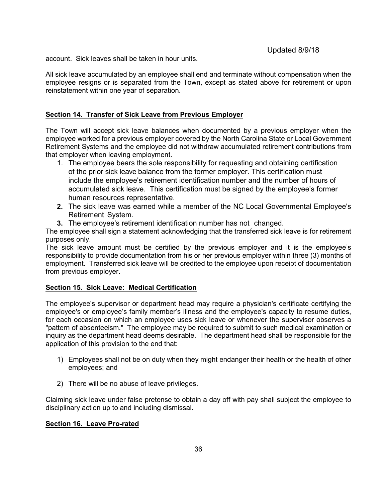account. Sick leaves shall be taken in hour units.

All sick leave accumulated by an employee shall end and terminate without compensation when the employee resigns or is separated from the Town, except as stated above for retirement or upon reinstatement within one year of separation.

### <span id="page-35-0"></span>**Section 14. Transfer of Sick Leave from Previous Employer**

The Town will accept sick leave balances when documented by a previous employer when the employee worked for a previous employer covered by the North Carolina State or Local Government Retirement Systems and the employee did not withdraw accumulated retirement contributions from that employer when leaving employment.

- 1. The employee bears the sole responsibility for requesting and obtaining certification of the prior sick leave balance from the former employer. This certification must include the employee's retirement identification number and the number of hours of accumulated sick leave. This certification must be signed by the employee's former human resources representative.
- **2.** The sick leave was earned while a member of the NC Local Governmental Employee's Retirement System.
- **3.** The employee's retirement identification number has not changed.

The employee shall sign a statement acknowledging that the transferred sick leave is for retirement purposes only.

The sick leave amount must be certified by the previous employer and it is the employee's responsibility to provide documentation from his or her previous employer within three (3) months of employment. Transferred sick leave will be credited to the employee upon receipt of documentation from previous employer.

#### <span id="page-35-1"></span>**Section 15. Sick Leave: Medical Certification**

The employee's supervisor or department head may require a physician's certificate certifying the employee's or employee's family member's illness and the employee's capacity to resume duties, for each occasion on which an employee uses sick leave or whenever the supervisor observes a "pattern of absenteeism." The employee may be required to submit to such medical examination or inquiry as the department head deems desirable. The department head shall be responsible for the application of this provision to the end that:

- 1) Employees shall not be on duty when they might endanger their health or the health of other employees; and
- 2) There will be no abuse of leave privileges.

Claiming sick leave under false pretense to obtain a day off with pay shall subject the employee to disciplinary action up to and including dismissal.

#### <span id="page-35-2"></span>**Section 16. Leave Pro-rated**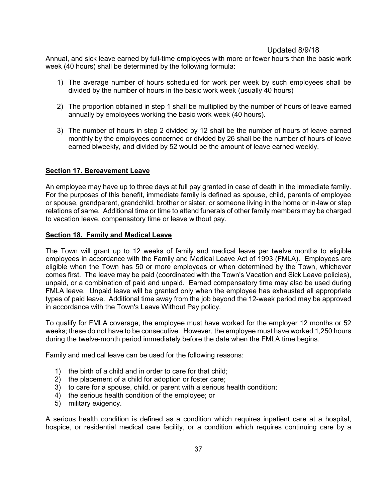Annual, and sick leave earned by full-time employees with more or fewer hours than the basic work week (40 hours) shall be determined by the following formula:

- 1) The average number of hours scheduled for work per week by such employees shall be divided by the number of hours in the basic work week (usually 40 hours)
- 2) The proportion obtained in step 1 shall be multiplied by the number of hours of leave earned annually by employees working the basic work week (40 hours).
- 3) The number of hours in step 2 divided by 12 shall be the number of hours of leave earned monthly by the employees concerned or divided by 26 shall be the number of hours of leave earned biweekly, and divided by 52 would be the amount of leave earned weekly.

### <span id="page-36-0"></span>**Section 17. Bereavement Leave**

An employee may have up to three days at full pay granted in case of death in the immediate family. For the purposes of this benefit, immediate family is defined as spouse, child, parents of employee or spouse, grandparent, grandchild, brother or sister, or someone living in the home or in-law or step relations of same. Additional time or time to attend funerals of other family members may be charged to vacation leave, compensatory time or leave without pay.

### <span id="page-36-1"></span>**Section 18. Family and Medical Leave**

The Town will grant up to 12 weeks of family and medical leave per twelve months to eligible employees in accordance with the Family and Medical Leave Act of 1993 (FMLA). Employees are eligible when the Town has 50 or more employees or when determined by the Town, whichever comes first. The leave may be paid (coordinated with the Town's Vacation and Sick Leave policies), unpaid, or a combination of paid and unpaid. Earned compensatory time may also be used during FMLA leave. Unpaid leave will be granted only when the employee has exhausted all appropriate types of paid leave. Additional time away from the job beyond the 12-week period may be approved in accordance with the Town's Leave Without Pay policy.

To qualify for FMLA coverage, the employee must have worked for the employer 12 months or 52 weeks; these do not have to be consecutive. However, the employee must have worked 1,250 hours during the twelve-month period immediately before the date when the FMLA time begins.

Family and medical leave can be used for the following reasons:

- 1) the birth of a child and in order to care for that child;
- 2) the placement of a child for adoption or foster care;
- 3) to care for a spouse, child, or parent with a serious health condition;
- 4) the serious health condition of the employee; or
- 5) military exigency.

A serious health condition is defined as a condition which requires inpatient care at a hospital, hospice, or residential medical care facility, or a condition which requires continuing care by a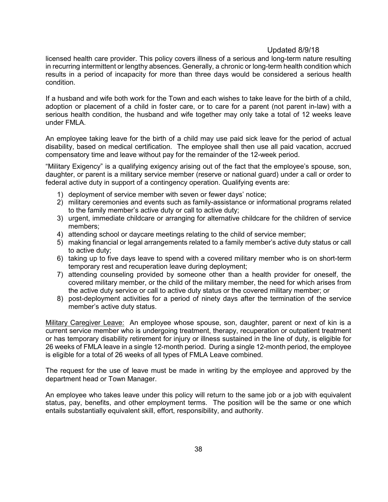licensed health care provider. This policy covers illness of a serious and long-term nature resulting in recurring intermittent or lengthy absences. Generally, a chronic or long-term health condition which results in a period of incapacity for more than three days would be considered a serious health condition.

If a husband and wife both work for the Town and each wishes to take leave for the birth of a child, adoption or placement of a child in foster care, or to care for a parent (not parent in-law) with a serious health condition, the husband and wife together may only take a total of 12 weeks leave under FMLA.

An employee taking leave for the birth of a child may use paid sick leave for the period of actual disability, based on medical certification. The employee shall then use all paid vacation, accrued compensatory time and leave without pay for the remainder of the 12-week period.

"Military Exigency" is a qualifying exigency arising out of the fact that the employee's spouse, son, daughter, or parent is a military service member (reserve or national guard) under a call or order to federal active duty in support of a contingency operation. Qualifying events are:

- 1) deployment of service member with seven or fewer days' notice;
- 2) military ceremonies and events such as family-assistance or informational programs related to the family member's active duty or call to active duty;
- 3) urgent, immediate childcare or arranging for alternative childcare for the children of service members;
- 4) attending school or daycare meetings relating to the child of service member;
- 5) making financial or legal arrangements related to a family member's active duty status or call to active duty;
- 6) taking up to five days leave to spend with a covered military member who is on short-term temporary rest and recuperation leave during deployment;
- 7) attending counseling provided by someone other than a health provider for oneself, the covered military member, or the child of the military member, the need for which arises from the active duty service or call to active duty status or the covered military member; or
- 8) post-deployment activities for a period of ninety days after the termination of the service member's active duty status.

Military Caregiver Leave: An employee whose spouse, son, daughter, parent or next of kin is a current service member who is undergoing treatment, therapy, recuperation or outpatient treatment or has temporary disability retirement for injury or illness sustained in the line of duty, is eligible for 26 weeks of FMLA leave in a single 12-month period. During a single 12-month period, the employee is eligible for a total of 26 weeks of all types of FMLA Leave combined.

The request for the use of leave must be made in writing by the employee and approved by the department head or Town Manager.

An employee who takes leave under this policy will return to the same job or a job with equivalent status, pay, benefits, and other employment terms. The position will be the same or one which entails substantially equivalent skill, effort, responsibility, and authority.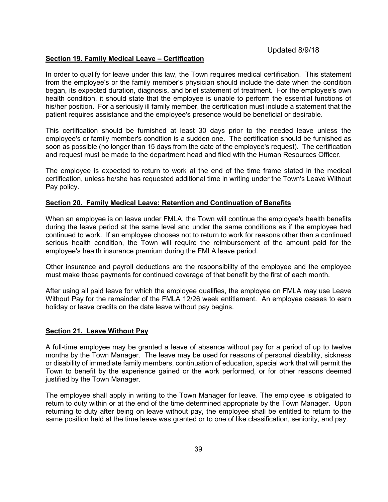#### <span id="page-38-0"></span>**Section 19. Family Medical Leave – Certification**

In order to qualify for leave under this law, the Town requires medical certification. This statement from the employee's or the family member's physician should include the date when the condition began, its expected duration, diagnosis, and brief statement of treatment. For the employee's own health condition, it should state that the employee is unable to perform the essential functions of his/her position. For a seriously ill family member, the certification must include a statement that the patient requires assistance and the employee's presence would be beneficial or desirable.

This certification should be furnished at least 30 days prior to the needed leave unless the employee's or family member's condition is a sudden one. The certification should be furnished as soon as possible (no longer than 15 days from the date of the employee's request). The certification and request must be made to the department head and filed with the Human Resources Officer.

The employee is expected to return to work at the end of the time frame stated in the medical certification, unless he/she has requested additional time in writing under the Town's Leave Without Pay policy.

#### <span id="page-38-1"></span>**Section 20. Family Medical Leave: Retention and Continuation of Benefits**

When an employee is on leave under FMLA, the Town will continue the employee's health benefits during the leave period at the same level and under the same conditions as if the employee had continued to work. If an employee chooses not to return to work for reasons other than a continued serious health condition, the Town will require the reimbursement of the amount paid for the employee's health insurance premium during the FMLA leave period.

Other insurance and payroll deductions are the responsibility of the employee and the employee must make those payments for continued coverage of that benefit by the first of each month.

After using all paid leave for which the employee qualifies, the employee on FMLA may use Leave Without Pay for the remainder of the FMLA 12/26 week entitlement. An employee ceases to earn holiday or leave credits on the date leave without pay begins.

#### <span id="page-38-2"></span>**Section 21. Leave Without Pay**

A full-time employee may be granted a leave of absence without pay for a period of up to twelve months by the Town Manager. The leave may be used for reasons of personal disability, sickness or disability of immediate family members, continuation of education, special work that will permit the Town to benefit by the experience gained or the work performed, or for other reasons deemed justified by the Town Manager.

The employee shall apply in writing to the Town Manager for leave. The employee is obligated to return to duty within or at the end of the time determined appropriate by the Town Manager. Upon returning to duty after being on leave without pay, the employee shall be entitled to return to the same position held at the time leave was granted or to one of like classification, seniority, and pay.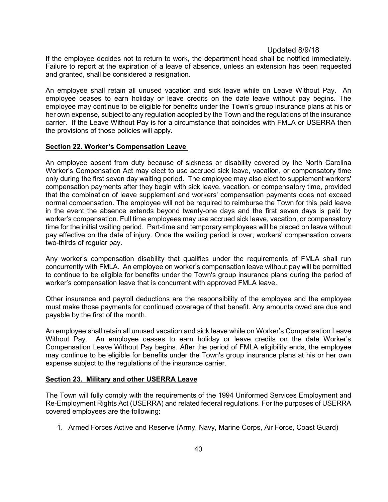If the employee decides not to return to work, the department head shall be notified immediately. Failure to report at the expiration of a leave of absence, unless an extension has been requested and granted, shall be considered a resignation.

An employee shall retain all unused vacation and sick leave while on Leave Without Pay. An employee ceases to earn holiday or leave credits on the date leave without pay begins. The employee may continue to be eligible for benefits under the Town's group insurance plans at his or her own expense, subject to any regulation adopted by the Town and the regulations of the insurance carrier. If the Leave Without Pay is for a circumstance that coincides with FMLA or USERRA then the provisions of those policies will apply.

#### <span id="page-39-0"></span>**Section 22. Worker's Compensation Leave**

An employee absent from duty because of sickness or disability covered by the North Carolina Worker's Compensation Act may elect to use accrued sick leave, vacation, or compensatory time only during the first seven day waiting period. The employee may also elect to supplement workers' compensation payments after they begin with sick leave, vacation, or compensatory time, provided that the combination of leave supplement and workers' compensation payments does not exceed normal compensation. The employee will not be required to reimburse the Town for this paid leave in the event the absence extends beyond twenty-one days and the first seven days is paid by worker's compensation. Full time employees may use accrued sick leave, vacation, or compensatory time for the initial waiting period. Part-time and temporary employees will be placed on leave without pay effective on the date of injury. Once the waiting period is over, workers' compensation covers two-thirds of regular pay.

Any worker's compensation disability that qualifies under the requirements of FMLA shall run concurrently with FMLA. An employee on worker's compensation leave without pay will be permitted to continue to be eligible for benefits under the Town's group insurance plans during the period of worker's compensation leave that is concurrent with approved FMLA leave.

Other insurance and payroll deductions are the responsibility of the employee and the employee must make those payments for continued coverage of that benefit. Any amounts owed are due and payable by the first of the month.

An employee shall retain all unused vacation and sick leave while on Worker's Compensation Leave Without Pay. An employee ceases to earn holiday or leave credits on the date Worker's Compensation Leave Without Pay begins. After the period of FMLA eligibility ends, the employee may continue to be eligible for benefits under the Town's group insurance plans at his or her own expense subject to the regulations of the insurance carrier.

#### <span id="page-39-1"></span>**Section 23. Military and other USERRA Leave**

The Town will fully comply with the requirements of the 1994 Uniformed Services Employment and Re-Employment Rights Act (USERRA) and related federal regulations. For the purposes of USERRA covered employees are the following:

1. Armed Forces Active and Reserve (Army, Navy, Marine Corps, Air Force, Coast Guard)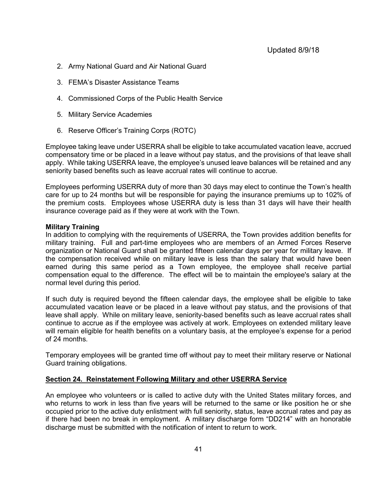- 2. Army National Guard and Air National Guard
- 3. FEMA's Disaster Assistance Teams
- 4. Commissioned Corps of the Public Health Service
- 5. Military Service Academies
- 6. Reserve Officer's Training Corps (ROTC)

Employee taking leave under USERRA shall be eligible to take accumulated vacation leave, accrued compensatory time or be placed in a leave without pay status, and the provisions of that leave shall apply. While taking USERRA leave, the employee's unused leave balances will be retained and any seniority based benefits such as leave accrual rates will continue to accrue.

Employees performing USERRA duty of more than 30 days may elect to continue the Town's health care for up to 24 months but will be responsible for paying the insurance premiums up to 102% of the premium costs. Employees whose USERRA duty is less than 31 days will have their health insurance coverage paid as if they were at work with the Town.

#### **Military Training**

In addition to complying with the requirements of USERRA, the Town provides addition benefits for military training. Full and part-time employees who are members of an Armed Forces Reserve organization or National Guard shall be granted fifteen calendar days per year for military leave. If the compensation received while on military leave is less than the salary that would have been earned during this same period as a Town employee, the employee shall receive partial compensation equal to the difference. The effect will be to maintain the employee's salary at the normal level during this period.

If such duty is required beyond the fifteen calendar days, the employee shall be eligible to take accumulated vacation leave or be placed in a leave without pay status, and the provisions of that leave shall apply. While on military leave, seniority-based benefits such as leave accrual rates shall continue to accrue as if the employee was actively at work. Employees on extended military leave will remain eligible for health benefits on a voluntary basis, at the employee's expense for a period of 24 months.

Temporary employees will be granted time off without pay to meet their military reserve or National Guard training obligations.

#### <span id="page-40-0"></span>**Section 24. Reinstatement Following Military and other USERRA Service**

An employee who volunteers or is called to active duty with the United States military forces, and who returns to work in less than five years will be returned to the same or like position he or she occupied prior to the active duty enlistment with full seniority, status, leave accrual rates and pay as if there had been no break in employment. A military discharge form "DD214" with an honorable discharge must be submitted with the notification of intent to return to work.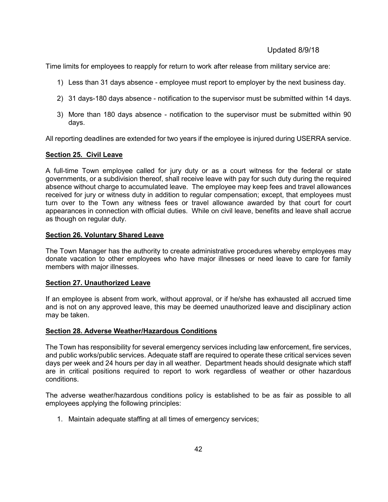Time limits for employees to reapply for return to work after release from military service are:

- 1) Less than 31 days absence employee must report to employer by the next business day.
- 2) 31 days-180 days absence notification to the supervisor must be submitted within 14 days.
- 3) More than 180 days absence notification to the supervisor must be submitted within 90 days.

All reporting deadlines are extended for two years if the employee is injured during USERRA service.

### <span id="page-41-0"></span>**Section 25. Civil Leave**

A full-time Town employee called for jury duty or as a court witness for the federal or state governments, or a subdivision thereof, shall receive leave with pay for such duty during the required absence without charge to accumulated leave. The employee may keep fees and travel allowances received for jury or witness duty in addition to regular compensation; except, that employees must turn over to the Town any witness fees or travel allowance awarded by that court for court appearances in connection with official duties. While on civil leave, benefits and leave shall accrue as though on regular duty.

### <span id="page-41-1"></span>**Section 26. Voluntary Shared Leave**

The Town Manager has the authority to create administrative procedures whereby employees may donate vacation to other employees who have major illnesses or need leave to care for family members with major illnesses.

#### **Section 27. Unauthorized Leave**

If an employee is absent from work, without approval, or if he/she has exhausted all accrued time and is not on any approved leave, this may be deemed unauthorized leave and disciplinary action may be taken.

#### <span id="page-41-2"></span>**Section 28. Adverse Weather/Hazardous Conditions**

The Town has responsibility for several emergency services including law enforcement, fire services, and public works/public services. Adequate staff are required to operate these critical services seven days per week and 24 hours per day in all weather. Department heads should designate which staff are in critical positions required to report to work regardless of weather or other hazardous conditions.

The adverse weather/hazardous conditions policy is established to be as fair as possible to all employees applying the following principles:

1. Maintain adequate staffing at all times of emergency services;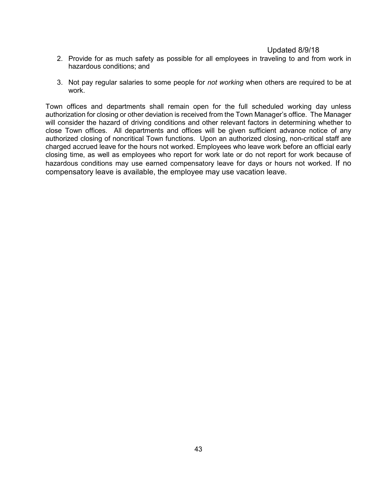- 2. Provide for as much safety as possible for all employees in traveling to and from work in hazardous conditions; and
- 3. Not pay regular salaries to some people for *not working* when others are required to be at work.

Town offices and departments shall remain open for the full scheduled working day unless authorization for closing or other deviation is received from the Town Manager's office. The Manager will consider the hazard of driving conditions and other relevant factors in determining whether to close Town offices. All departments and offices will be given sufficient advance notice of any authorized closing of noncritical Town functions. Upon an authorized closing, non-critical staff are charged accrued leave for the hours not worked. Employees who leave work before an official early closing time, as well as employees who report for work late or do not report for work because of hazardous conditions may use earned compensatory leave for days or hours not worked. If no compensatory leave is available, the employee may use vacation leave.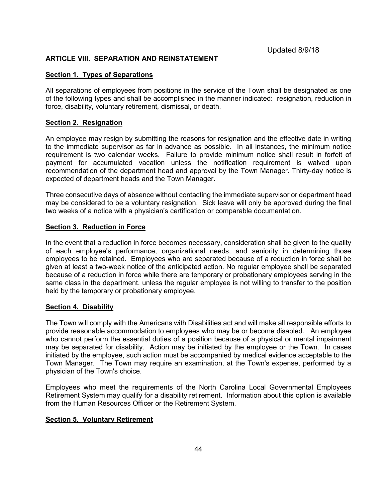#### <span id="page-43-0"></span>**ARTICLE VIII. SEPARATION AND REINSTATEMENT**

#### <span id="page-43-1"></span>**Section 1. Types of Separations**

All separations of employees from positions in the service of the Town shall be designated as one of the following types and shall be accomplished in the manner indicated: resignation, reduction in force, disability, voluntary retirement, dismissal, or death.

#### <span id="page-43-2"></span>**Section 2. Resignation**

An employee may resign by submitting the reasons for resignation and the effective date in writing to the immediate supervisor as far in advance as possible. In all instances, the minimum notice requirement is two calendar weeks. Failure to provide minimum notice shall result in forfeit of payment for accumulated vacation unless the notification requirement is waived upon recommendation of the department head and approval by the Town Manager. Thirty-day notice is expected of department heads and the Town Manager.

Three consecutive days of absence without contacting the immediate supervisor or department head may be considered to be a voluntary resignation. Sick leave will only be approved during the final two weeks of a notice with a physician's certification or comparable documentation.

### <span id="page-43-3"></span>**Section 3. Reduction in Force**

In the event that a reduction in force becomes necessary, consideration shall be given to the quality of each employee's performance, organizational needs, and seniority in determining those employees to be retained. Employees who are separated because of a reduction in force shall be given at least a two-week notice of the anticipated action. No regular employee shall be separated because of a reduction in force while there are temporary or probationary employees serving in the same class in the department, unless the regular employee is not willing to transfer to the position held by the temporary or probationary employee.

#### <span id="page-43-4"></span>**Section 4. Disability**

The Town will comply with the Americans with Disabilities act and will make all responsible efforts to provide reasonable accommodation to employees who may be or become disabled. An employee who cannot perform the essential duties of a position because of a physical or mental impairment may be separated for disability. Action may be initiated by the employee or the Town. In cases initiated by the employee, such action must be accompanied by medical evidence acceptable to the Town Manager. The Town may require an examination, at the Town's expense, performed by a physician of the Town's choice.

Employees who meet the requirements of the North Carolina Local Governmental Employees Retirement System may qualify for a disability retirement. Information about this option is available from the Human Resources Officer or the Retirement System.

#### <span id="page-43-5"></span>**Section 5. Voluntary Retirement**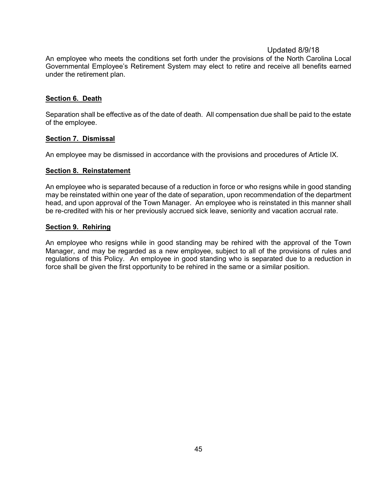An employee who meets the conditions set forth under the provisions of the North Carolina Local Governmental Employee's Retirement System may elect to retire and receive all benefits earned under the retirement plan.

#### <span id="page-44-0"></span>**Section 6. Death**

Separation shall be effective as of the date of death. All compensation due shall be paid to the estate of the employee.

#### <span id="page-44-1"></span>**Section 7. Dismissal**

An employee may be dismissed in accordance with the provisions and procedures of Article IX.

#### <span id="page-44-2"></span>**Section 8. Reinstatement**

An employee who is separated because of a reduction in force or who resigns while in good standing may be reinstated within one year of the date of separation, upon recommendation of the department head, and upon approval of the Town Manager. An employee who is reinstated in this manner shall be re-credited with his or her previously accrued sick leave, seniority and vacation accrual rate.

#### <span id="page-44-3"></span>**Section 9. Rehiring**

An employee who resigns while in good standing may be rehired with the approval of the Town Manager, and may be regarded as a new employee, subject to all of the provisions of rules and regulations of this Policy. An employee in good standing who is separated due to a reduction in force shall be given the first opportunity to be rehired in the same or a similar position.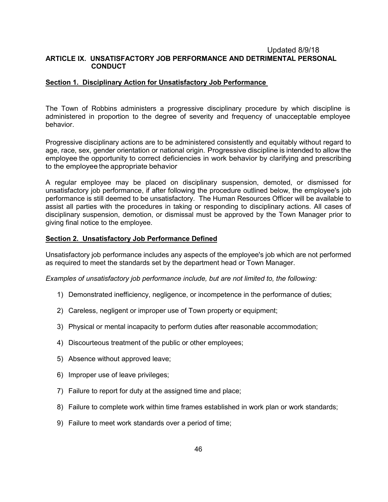#### <span id="page-45-0"></span>Updated 8/9/18 **ARTICLE IX. UNSATISFACTORY JOB PERFORMANCE AND DETRIMENTAL PERSONAL CONDUCT**

#### <span id="page-45-1"></span>**Section 1. Disciplinary Action for Unsatisfactory Job Performance**

The Town of Robbins administers a progressive disciplinary procedure by which discipline is administered in proportion to the degree of severity and frequency of unacceptable employee behavior.

Progressive disciplinary actions are to be administered consistently and equitably without regard to age, race, sex, gender orientation or national origin. Progressive discipline is intended to allow the employee the opportunity to correct deficiencies in work behavior by clarifying and prescribing to the employee the appropriate behavior

A regular employee may be placed on disciplinary suspension, demoted, or dismissed for unsatisfactory job performance, if after following the procedure outlined below, the employee's job performance is still deemed to be unsatisfactory. The Human Resources Officer will be available to assist all parties with the procedures in taking or responding to disciplinary actions. All cases of disciplinary suspension, demotion, or dismissal must be approved by the Town Manager prior to giving final notice to the employee.

#### <span id="page-45-2"></span>**Section 2. Unsatisfactory Job Performance Defined**

Unsatisfactory job performance includes any aspects of the employee's job which are not performed as required to meet the standards set by the department head or Town Manager.

*Examples of unsatisfactory job performance include, but are not limited to, the following:*

- 1) Demonstrated inefficiency, negligence, or incompetence in the performance of duties;
- 2) Careless, negligent or improper use of Town property or equipment;
- 3) Physical or mental incapacity to perform duties after reasonable accommodation;
- 4) Discourteous treatment of the public or other employees;
- 5) Absence without approved leave;
- 6) Improper use of leave privileges;
- 7) Failure to report for duty at the assigned time and place;
- 8) Failure to complete work within time frames established in work plan or work standards;
- 9) Failure to meet work standards over a period of time;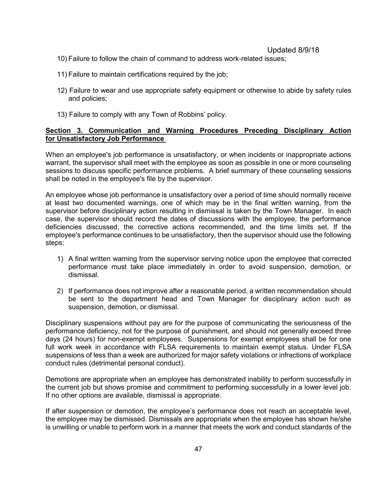- 10) Failure to follow the chain of command to address work-related issues;
- 11) Failure to maintain certifications required by the job;
- 12) Failure to wear and use appropriate safety equipment or otherwise to abide by safety rules and policies;
- 13) Failure to comply with any Town of Robbins' policy.

### <span id="page-46-0"></span>**Section 3. Communication and Warning Procedures Preceding Disciplinary Action for Unsatisfactory Job Performance**

When an employee's job performance is unsatisfactory, or when incidents or inappropriate actions warrant, the supervisor shall meet with the employee as soon as possible in one or more counseling sessions to discuss specific performance problems. A brief summary of these counseling sessions shall be noted in the employee's file by the supervisor.

An employee whose job performance is unsatisfactory over a period of time should normally receive at least two documented warnings, one of which may be in the final written warning, from the supervisor before disciplinary action resulting in dismissal is taken by the Town Manager. In each case, the supervisor should record the dates of discussions with the employee, the performance deficiencies discussed, the corrective actions recommended, and the time limits set. If the employee's performance continues to be unsatisfactory, then the supervisor should use the following steps:

- 1) A final written warning from the supervisor serving notice upon the employee that corrected performance must take place immediately in order to avoid suspension, demotion, or dismissal.
- 2) If performance does not improve after a reasonable period, a written recommendation should be sent to the department head and Town Manager for disciplinary action such as suspension, demotion, or dismissal.

Disciplinary suspensions without pay are for the purpose of communicating the seriousness of the performance deficiency, not for the purpose of punishment, and should not generally exceed three days (24 hours) for non-exempt employees. Suspensions for exempt employees shall be for one full work week in accordance with FLSA requirements to maintain exempt status. Under FLSA suspensions of less than a week are authorized for major safety violations or infractions of workplace conduct rules (detrimental personal conduct).

Demotions are appropriate when an employee has demonstrated inability to perform successfully in the current job but shows promise and commitment to performing successfully in a lower level job. If no other options are available, dismissal is appropriate.

If after suspension or demotion, the employee's performance does not reach an acceptable level, the employee may be dismissed. Dismissals are appropriate when the employee has shown he/she is unwilling or unable to perform work in a manner that meets the work and conduct standards of the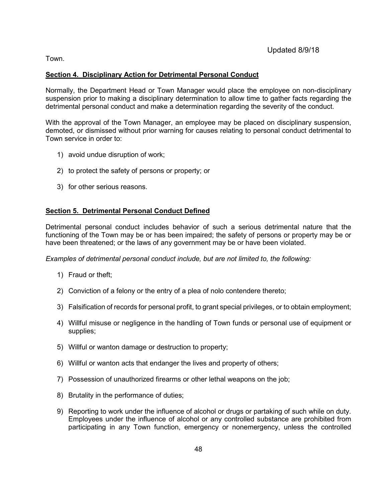Town.

### <span id="page-47-0"></span>**Section 4. Disciplinary Action for Detrimental Personal Conduct**

Normally, the Department Head or Town Manager would place the employee on non-disciplinary suspension prior to making a disciplinary determination to allow time to gather facts regarding the detrimental personal conduct and make a determination regarding the severity of the conduct.

With the approval of the Town Manager, an employee may be placed on disciplinary suspension, demoted, or dismissed without prior warning for causes relating to personal conduct detrimental to Town service in order to:

- 1) avoid undue disruption of work;
- 2) to protect the safety of persons or property; or
- 3) for other serious reasons.

### **Section 5. Detrimental Personal Conduct Defined**

Detrimental personal conduct includes behavior of such a serious detrimental nature that the functioning of the Town may be or has been impaired; the safety of persons or property may be or have been threatened; or the laws of any government may be or have been violated.

*Examples of detrimental personal conduct include, but are not limited to, the following:*

- 1) Fraud or theft;
- 2) Conviction of a felony or the entry of a plea of nolo contendere thereto;
- 3) Falsification of records for personal profit, to grant special privileges, or to obtain employment;
- 4) Willful misuse or negligence in the handling of Town funds or personal use of equipment or supplies;
- 5) Willful or wanton damage or destruction to property;
- 6) Willful or wanton acts that endanger the lives and property of others;
- 7) Possession of unauthorized firearms or other lethal weapons on the job;
- 8) Brutality in the performance of duties;
- 9) Reporting to work under the influence of alcohol or drugs or partaking of such while on duty. Employees under the influence of alcohol or any controlled substance are prohibited from participating in any Town function, emergency or nonemergency, unless the controlled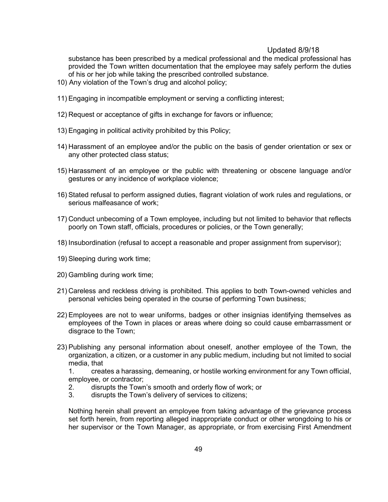substance has been prescribed by a medical professional and the medical professional has provided the Town written documentation that the employee may safely perform the duties of his or her job while taking the prescribed controlled substance.

- 10) Any violation of the Town's drug and alcohol policy;
- 11) Engaging in incompatible employment or serving a conflicting interest;
- 12) Request or acceptance of gifts in exchange for favors or influence;
- 13) Engaging in political activity prohibited by this Policy;
- 14) Harassment of an employee and/or the public on the basis of gender orientation or sex or any other protected class status;
- 15) Harassment of an employee or the public with threatening or obscene language and/or gestures or any incidence of workplace violence;
- 16) Stated refusal to perform assigned duties, flagrant violation of work rules and regulations, or serious malfeasance of work;
- 17) Conduct unbecoming of a Town employee, including but not limited to behavior that reflects poorly on Town staff, officials, procedures or policies, or the Town generally;
- 18) Insubordination (refusal to accept a reasonable and proper assignment from supervisor);
- 19) Sleeping during work time;
- 20) Gambling during work time;
- 21) Careless and reckless driving is prohibited. This applies to both Town-owned vehicles and personal vehicles being operated in the course of performing Town business;
- 22) Employees are not to wear uniforms, badges or other insignias identifying themselves as employees of the Town in places or areas where doing so could cause embarrassment or disgrace to the Town;
- 23) Publishing any personal information about oneself, another employee of the Town, the organization, a citizen, or a customer in any public medium, including but not limited to social media, that

1. creates a harassing, demeaning, or hostile working environment for any Town official, employee, or contractor;

- 2. disrupts the Town's smooth and orderly flow of work; or
- 3. disrupts the Town's delivery of services to citizens;

Nothing herein shall prevent an employee from taking advantage of the grievance process set forth herein, from reporting alleged inappropriate conduct or other wrongdoing to his or her supervisor or the Town Manager, as appropriate, or from exercising First Amendment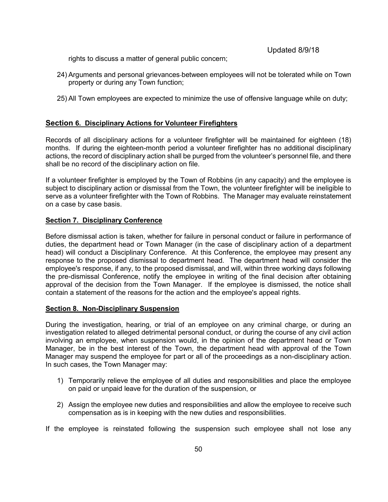rights to discuss a matter of general public concern;

- 24) Arguments and personal grievances between employees will not be tolerated while on Town property or during any Town function;
- 25) All Town employees are expected to minimize the use of offensive language while on duty;

### **Section 6. Disciplinary Actions for Volunteer Firefighters**

Records of all disciplinary actions for a volunteer firefighter will be maintained for eighteen (18) months. If during the eighteen-month period a volunteer firefighter has no additional disciplinary actions, the record of disciplinary action shall be purged from the volunteer's personnel file, and there shall be no record of the disciplinary action on file.

If a volunteer firefighter is employed by the Town of Robbins (in any capacity) and the employee is subject to disciplinary action or dismissal from the Town, the volunteer firefighter will be ineligible to serve as a volunteer firefighter with the Town of Robbins. The Manager may evaluate reinstatement on a case by case basis.

#### <span id="page-49-0"></span>**Section 7. Disciplinary Conference**

Before dismissal action is taken, whether for failure in personal conduct or failure in performance of duties, the department head or Town Manager (in the case of disciplinary action of a department head) will conduct a Disciplinary Conference. At this Conference, the employee may present any response to the proposed dismissal to department head. The department head will consider the employee's response, if any, to the proposed dismissal, and will, within three working days following the pre-dismissal Conference, notify the employee in writing of the final decision after obtaining approval of the decision from the Town Manager. If the employee is dismissed, the notice shall contain a statement of the reasons for the action and the employee's appeal rights.

#### <span id="page-49-1"></span>**Section 8. Non-Disciplinary Suspension**

During the investigation, hearing, or trial of an employee on any criminal charge, or during an investigation related to alleged detrimental personal conduct, or during the course of any civil action involving an employee, when suspension would, in the opinion of the department head or Town Manager, be in the best interest of the Town, the department head with approval of the Town Manager may suspend the employee for part or all of the proceedings as a non-disciplinary action. In such cases, the Town Manager may:

- 1) Temporarily relieve the employee of all duties and responsibilities and place the employee on paid or unpaid leave for the duration of the suspension, or
- 2) Assign the employee new duties and responsibilities and allow the employee to receive such compensation as is in keeping with the new duties and responsibilities.

If the employee is reinstated following the suspension such employee shall not lose any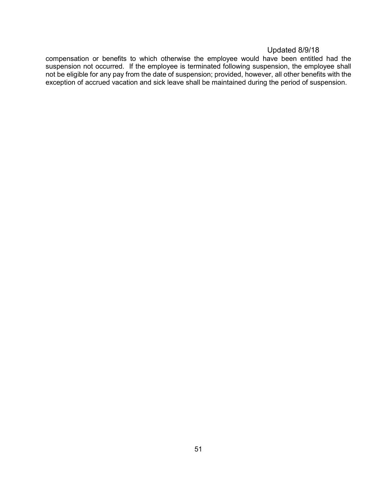compensation or benefits to which otherwise the employee would have been entitled had the suspension not occurred. If the employee is terminated following suspension, the employee shall not be eligible for any pay from the date of suspension; provided, however, all other benefits with the exception of accrued vacation and sick leave shall be maintained during the period of suspension.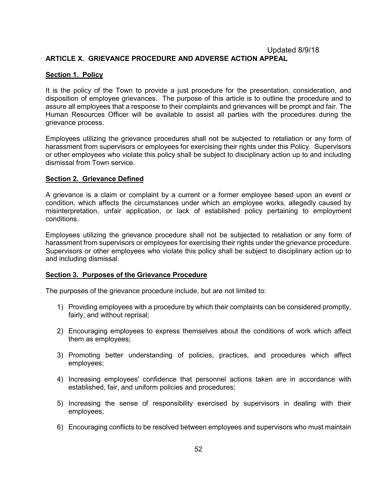### <span id="page-51-0"></span>Updated 8/9/18 **ARTICLE X. GRIEVANCE PROCEDURE AND ADVERSE ACTION APPEAL**

#### <span id="page-51-1"></span>**Section 1. Policy**

It is the policy of the Town to provide a just procedure for the presentation, consideration, and disposition of employee grievances. The purpose of this article is to outline the procedure and to assure all employees that a response to their complaints and grievances will be prompt and fair. The Human Resources Officer will be available to assist all parties with the procedures during the grievance process.

Employees utilizing the grievance procedures shall not be subjected to retaliation or any form of harassment from supervisors or employees for exercising their rights under this Policy. Supervisors or other employees who violate this policy shall be subject to disciplinary action up to and including dismissal from Town service.

#### <span id="page-51-2"></span>**Section 2. Grievance Defined**

A grievance is a claim or complaint by a current or a former employee based upon an event or condition, which affects the circumstances under which an employee works, allegedly caused by misinterpretation, unfair application, or lack of established policy pertaining to employment conditions.

Employees utilizing the grievance procedure shall not be subjected to retaliation or any form of harassment from supervisors or employees for exercising their rights under the grievance procedure. Supervisors or other employees who violate this policy shall be subject to disciplinary action up to and including dismissal.

#### <span id="page-51-3"></span>**Section 3. Purposes of the Grievance Procedure**

The purposes of the grievance procedure include, but are not limited to:

- 1) Providing employees with a procedure by which their complaints can be considered promptly, fairly, and without reprisal;
- 2) Encouraging employees to express themselves about the conditions of work which affect them as employees;
- 3) Promoting better understanding of policies, practices, and procedures which affect employees;
- 4) Increasing employees' confidence that personnel actions taken are in accordance with established, fair, and uniform policies and procedures;
- 5) Increasing the sense of responsibility exercised by supervisors in dealing with their employees;
- 6) Encouraging conflicts to be resolved between employees and supervisors who must maintain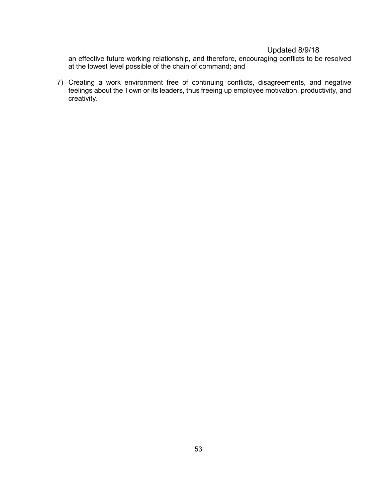an effective future working relationship, and therefore, encouraging conflicts to be resolved at the lowest level possible of the chain of command; and

7) Creating a work environment free of continuing conflicts, disagreements, and negative feelings about the Town or its leaders, thus freeing up employee motivation, productivity, and creativity.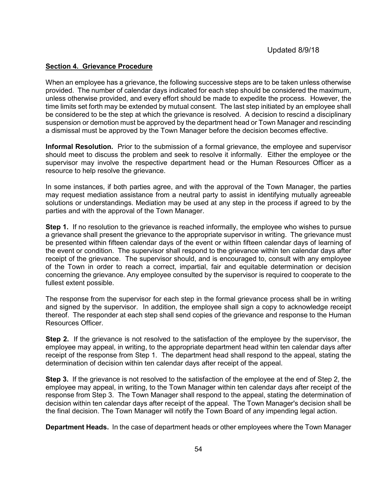#### <span id="page-53-0"></span>**Section 4. Grievance Procedure**

When an employee has a grievance, the following successive steps are to be taken unless otherwise provided. The number of calendar days indicated for each step should be considered the maximum, unless otherwise provided, and every effort should be made to expedite the process. However, the time limits set forth may be extended by mutual consent. The last step initiated by an employee shall be considered to be the step at which the grievance is resolved. A decision to rescind a disciplinary suspension or demotion must be approved by the department head or Town Manager and rescinding a dismissal must be approved by the Town Manager before the decision becomes effective.

**Informal Resolution.** Prior to the submission of a formal grievance, the employee and supervisor should meet to discuss the problem and seek to resolve it informally. Either the employee or the supervisor may involve the respective department head or the Human Resources Officer as a resource to help resolve the grievance.

In some instances, if both parties agree, and with the approval of the Town Manager, the parties may request mediation assistance from a neutral party to assist in identifying mutually agreeable solutions or understandings. Mediation may be used at any step in the process if agreed to by the parties and with the approval of the Town Manager.

**Step 1.** If no resolution to the grievance is reached informally, the employee who wishes to pursue a grievance shall present the grievance to the appropriate supervisor in writing. The grievance must be presented within fifteen calendar days of the event or within fifteen calendar days of learning of the event or condition. The supervisor shall respond to the grievance within ten calendar days after receipt of the grievance. The supervisor should, and is encouraged to, consult with any employee of the Town in order to reach a correct, impartial, fair and equitable determination or decision concerning the grievance. Any employee consulted by the supervisor is required to cooperate to the fullest extent possible.

The response from the supervisor for each step in the formal grievance process shall be in writing and signed by the supervisor. In addition, the employee shall sign a copy to acknowledge receipt thereof. The responder at each step shall send copies of the grievance and response to the Human Resources Officer.

**Step 2.** If the grievance is not resolved to the satisfaction of the employee by the supervisor, the employee may appeal, in writing, to the appropriate department head within ten calendar days after receipt of the response from Step 1. The department head shall respond to the appeal, stating the determination of decision within ten calendar days after receipt of the appeal.

**Step 3.** If the grievance is not resolved to the satisfaction of the employee at the end of Step 2, the employee may appeal, in writing, to the Town Manager within ten calendar days after receipt of the response from Step 3. The Town Manager shall respond to the appeal, stating the determination of decision within ten calendar days after receipt of the appeal. The Town Manager's decision shall be the final decision. The Town Manager will notify the Town Board of any impending legal action.

**Department Heads.** In the case of department heads or other employees where the Town Manager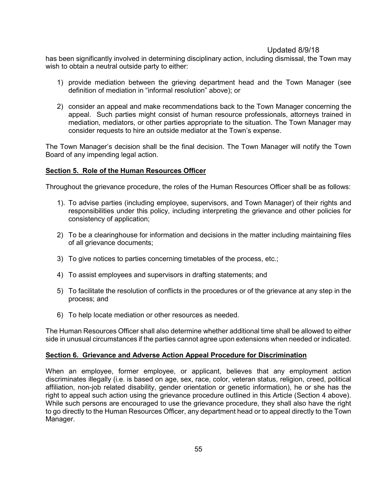has been significantly involved in determining disciplinary action, including dismissal, the Town may wish to obtain a neutral outside party to either:

- 1) provide mediation between the grieving department head and the Town Manager (see definition of mediation in "informal resolution" above); or
- 2) consider an appeal and make recommendations back to the Town Manager concerning the appeal. Such parties might consist of human resource professionals, attorneys trained in mediation, mediators, or other parties appropriate to the situation. The Town Manager may consider requests to hire an outside mediator at the Town's expense.

The Town Manager's decision shall be the final decision. The Town Manager will notify the Town Board of any impending legal action.

### <span id="page-54-0"></span>**Section 5. Role of the Human Resources Officer**

Throughout the grievance procedure, the roles of the Human Resources Officer shall be as follows:

- 1). To advise parties (including employee, supervisors, and Town Manager) of their rights and responsibilities under this policy, including interpreting the grievance and other policies for consistency of application;
- 2) To be a clearinghouse for information and decisions in the matter including maintaining files of all grievance documents;
- 3) To give notices to parties concerning timetables of the process, etc.;
- 4) To assist employees and supervisors in drafting statements; and
- 5) To facilitate the resolution of conflicts in the procedures or of the grievance at any step in the process; and
- 6) To help locate mediation or other resources as needed.

The Human Resources Officer shall also determine whether additional time shall be allowed to either side in unusual circumstances if the parties cannot agree upon extensions when needed or indicated.

#### <span id="page-54-1"></span>**Section 6. Grievance and Adverse Action Appeal Procedure for Discrimination**

When an employee, former employee, or applicant, believes that any employment action discriminates illegally (i.e. is based on age, sex, race, color, veteran status, religion, creed, political affiliation, non-job related disability, gender orientation or genetic information), he or she has the right to appeal such action using the grievance procedure outlined in this Article (Section 4 above). While such persons are encouraged to use the grievance procedure, they shall also have the right to go directly to the Human Resources Officer, any department head or to appeal directly to the Town Manager.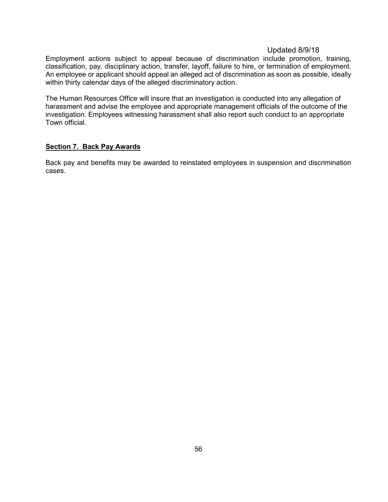Employment actions subject to appeal because of discrimination include promotion, training, classification, pay, disciplinary action, transfer, layoff, failure to hire, or termination of employment. An employee or applicant should appeal an alleged act of discrimination as soon as possible, ideally within thirty calendar days of the alleged discriminatory action.

The Human Resources Office will insure that an investigation is conducted into any allegation of harassment and advise the employee and appropriate management officials of the outcome of the investigation. Employees witnessing harassment shall also report such conduct to an appropriate Town official.

#### **Section 7. Back Pay Awards**

Back pay and benefits may be awarded to reinstated employees in suspension and discrimination cases.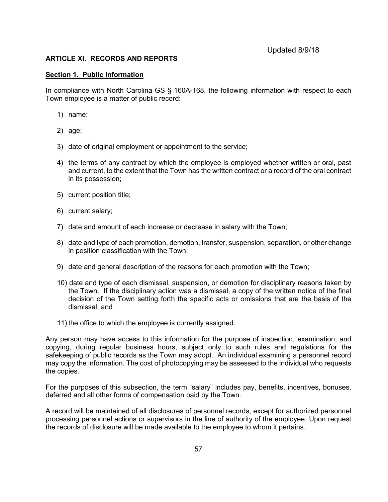### <span id="page-56-0"></span>**ARTICLE XI. RECORDS AND REPORTS**

#### <span id="page-56-1"></span>**Section 1. Public Information**

In compliance with North Carolina GS § 160A-168, the following information with respect to each Town employee is a matter of public record:

- 1) name;
- 2) age;
- 3) date of original employment or appointment to the service;
- 4) the terms of any contract by which the employee is employed whether written or oral, past and current, to the extent that the Town has the written contract or a record of the oral contract in its possession;
- 5) current position title;
- 6) current salary;
- 7) date and amount of each increase or decrease in salary with the Town;
- 8) date and type of each promotion, demotion, transfer, suspension, separation, or other change in position classification with the Town;
- 9) date and general description of the reasons for each promotion with the Town;
- 10) date and type of each dismissal, suspension, or demotion for disciplinary reasons taken by the Town. If the disciplinary action was a dismissal, a copy of the written notice of the final decision of the Town setting forth the specific acts or omissions that are the basis of the dismissal; and
- 11) the office to which the employee is currently assigned.

Any person may have access to this information for the purpose of inspection, examination, and copying, during regular business hours, subject only to such rules and regulations for the safekeeping of public records as the Town may adopt. An individual examining a personnel record may copy the information. The cost of photocopying may be assessed to the individual who requests the copies.

For the purposes of this subsection, the term "salary" includes pay, benefits, incentives, bonuses, deferred and all other forms of compensation paid by the Town.

A record will be maintained of all disclosures of personnel records, except for authorized personnel processing personnel actions or supervisors in the line of authority of the employee. Upon request the records of disclosure will be made available to the employee to whom it pertains.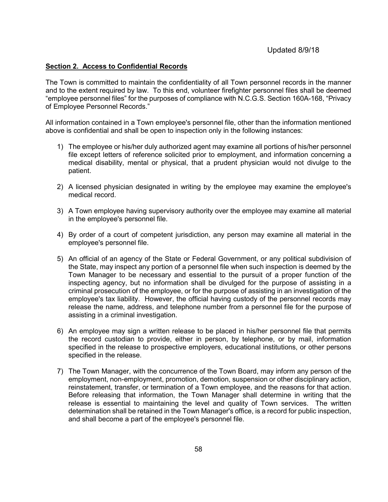#### <span id="page-57-0"></span>**Section 2. Access to Confidential Records**

The Town is committed to maintain the confidentiality of all Town personnel records in the manner and to the extent required by law. To this end, volunteer firefighter personnel files shall be deemed "employee personnel files" for the purposes of compliance with N.C.G.S. Section 160A-168, "Privacy of Employee Personnel Records."

All information contained in a Town employee's personnel file, other than the information mentioned above is confidential and shall be open to inspection only in the following instances:

- 1) The employee or his/her duly authorized agent may examine all portions of his/her personnel file except letters of reference solicited prior to employment, and information concerning a medical disability, mental or physical, that a prudent physician would not divulge to the patient.
- 2) A licensed physician designated in writing by the employee may examine the employee's medical record.
- 3) A Town employee having supervisory authority over the employee may examine all material in the employee's personnel file.
- 4) By order of a court of competent jurisdiction, any person may examine all material in the employee's personnel file.
- 5) An official of an agency of the State or Federal Government, or any political subdivision of the State, may inspect any portion of a personnel file when such inspection is deemed by the Town Manager to be necessary and essential to the pursuit of a proper function of the inspecting agency, but no information shall be divulged for the purpose of assisting in a criminal prosecution of the employee, or for the purpose of assisting in an investigation of the employee's tax liability. However, the official having custody of the personnel records may release the name, address, and telephone number from a personnel file for the purpose of assisting in a criminal investigation.
- 6) An employee may sign a written release to be placed in his/her personnel file that permits the record custodian to provide, either in person, by telephone, or by mail, information specified in the release to prospective employers, educational institutions, or other persons specified in the release.
- 7) The Town Manager, with the concurrence of the Town Board, may inform any person of the employment, non-employment, promotion, demotion, suspension or other disciplinary action, reinstatement, transfer, or termination of a Town employee, and the reasons for that action. Before releasing that information, the Town Manager shall determine in writing that the release is essential to maintaining the level and quality of Town services. The written determination shall be retained in the Town Manager's office, is a record for public inspection, and shall become a part of the employee's personnel file.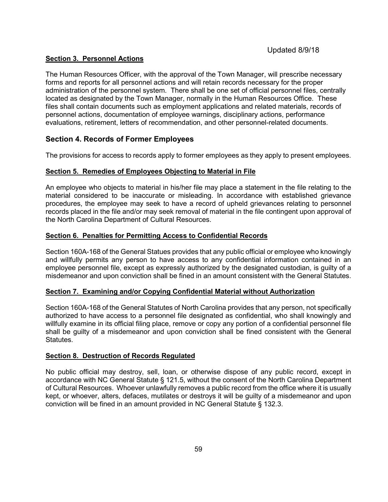### <span id="page-58-0"></span>**Section 3. Personnel Actions**

The Human Resources Officer, with the approval of the Town Manager, will prescribe necessary forms and reports for all personnel actions and will retain records necessary for the proper administration of the personnel system. There shall be one set of official personnel files, centrally located as designated by the Town Manager, normally in the Human Resources Office. These files shall contain documents such as employment applications and related materials, records of personnel actions, documentation of employee warnings, disciplinary actions, performance evaluations, retirement, letters of recommendation, and other personnel-related documents.

### <span id="page-58-1"></span>**Section 4. Records of Former Employees**

The provisions for access to records apply to former employees as they apply to present employees.

### <span id="page-58-2"></span>**Section 5. Remedies of Employees Objecting to Material in File**

An employee who objects to material in his/her file may place a statement in the file relating to the material considered to be inaccurate or misleading. In accordance with established grievance procedures, the employee may seek to have a record of upheld grievances relating to personnel records placed in the file and/or may seek removal of material in the file contingent upon approval of the North Carolina Department of Cultural Resources.

### <span id="page-58-3"></span>**Section 6. Penalties for Permitting Access to Confidential Records**

Section 160A-168 of the General Statues provides that any public official or employee who knowingly and willfully permits any person to have access to any confidential information contained in an employee personnel file, except as expressly authorized by the designated custodian, is guilty of a misdemeanor and upon conviction shall be fined in an amount consistent with the General Statutes.

#### <span id="page-58-4"></span>**Section 7. Examining and/or Copying Confidential Material without Authorization**

Section 160A-168 of the General Statutes of North Carolina provides that any person, not specifically authorized to have access to a personnel file designated as confidential, who shall knowingly and willfully examine in its official filing place, remove or copy any portion of a confidential personnel file shall be guilty of a misdemeanor and upon conviction shall be fined consistent with the General Statutes.

#### <span id="page-58-5"></span>**Section 8. Destruction of Records Regulated**

No public official may destroy, sell, loan, or otherwise dispose of any public record, except in accordance with NC General Statute § 121.5, without the consent of the North Carolina Department of Cultural Resources. Whoever unlawfully removes a public record from the office where it is usually kept, or whoever, alters, defaces, mutilates or destroys it will be guilty of a misdemeanor and upon conviction will be fined in an amount provided in NC General Statute § 132.3.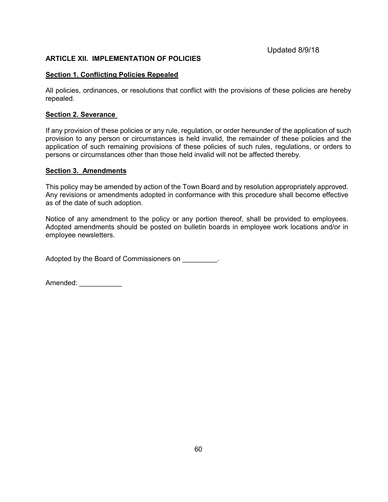### <span id="page-59-0"></span>**ARTICLE XII. IMPLEMENTATION OF POLICIES**

#### <span id="page-59-1"></span>**Section 1. Conflicting Policies Repealed**

All policies, ordinances, or resolutions that conflict with the provisions of these policies are hereby repealed.

#### <span id="page-59-2"></span>**Section 2. Severance**

If any provision of these policies or any rule, regulation, or order hereunder of the application of such provision to any person or circumstances is held invalid, the remainder of these policies and the application of such remaining provisions of these policies of such rules, regulations, or orders to persons or circumstances other than those held invalid will not be affected thereby.

#### <span id="page-59-3"></span>**Section 3. Amendments**

This policy may be amended by action of the Town Board and by resolution appropriately approved. Any revisions or amendments adopted in conformance with this procedure shall become effective as of the date of such adoption.

Notice of any amendment to the policy or any portion thereof, shall be provided to employees. Adopted amendments should be posted on bulletin boards in employee work locations and/or in employee newsletters.

Adopted by the Board of Commissioners on \_\_\_\_\_\_\_\_.

Amended: \_\_\_\_\_\_\_\_\_\_\_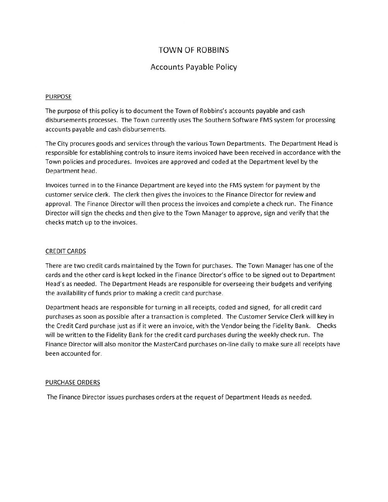## **TOWN OF ROBBINS**

### **Accounts Payable Policy**

#### **PURPOSE**

The purpose of this policy is to document the Town of Robbins's accounts payable and cash disbursements processes. The Town currently uses The Southern Software FMS system for processing accounts payable and cash disbursements.

The City procures goods and services through the various Town Departments. The Department Head is responsible for establishing controls to insure items invoiced have been received in accordance with the Town policies and procedures. Invoices are approved and coded at the Department level by the Department head.

Invoices turned in to the Finance Department are keyed into the FMS system for payment by the customer service clerk. The clerk then gives the invoices to the Finance Director for review and approval. The Finance Director will then process the invoices and complete a check run. The Finance Director will sign the checks and then give to the Town Manager to approve, sign and verify that the checks match up to the invoices.

#### **CREDIT CARDS**

There are two credit cards maintained by the Town for purchases. The Town Manager has one of the cards and the other card is kept locked in the Finance Director's office to be signed out to Department Head's as needed. The Department Heads are responsible for overseeing their budgets and verifying the availability of funds prior to making a credit card purchase.

Department heads are responsible for turning in all receipts, coded and signed, for all credit card purchases as soon as possible after a transaction is completed. The Customer Service Clerk will key in the Credit Card purchase just as if it were an invoice, with the Vendor being the Fidelity Bank. Checks will be written to the Fidelity Bank for the credit card purchases during the weekly check run. The Finance Director will also monitor the MasterCard purchases on-line daily to make sure all receipts have been accounted for.

#### PURCHASE ORDERS

The Finance Director issues purchases orders at the request of Department Heads as needed.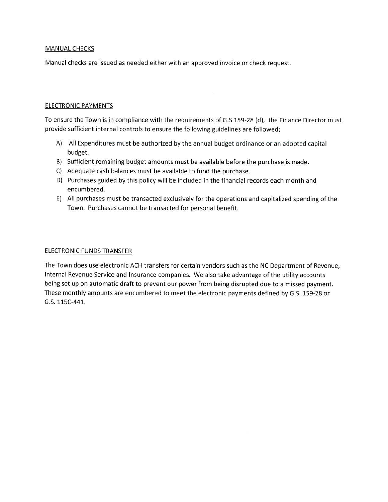#### **MANUAL CHECKS**

Manual checks are issued as needed either with an approved invoice or check request.

#### **ELECTRONIC PAYMENTS**

To ensure the Town is in compliance with the requirements of G.S 159-28 (d), the Finance Director must provide sufficient internal controls to ensure the following guidelines are followed;

- A) All Expenditures must be authorized by the annual budget ordinance or an adopted capital budget.
- B) Sufficient remaining budget amounts must be available before the purchase is made.
- C) Adequate cash balances must be available to fund the purchase.
- D) Purchases guided by this policy will be included in the financial records each month and encumbered.
- E) All purchases must be transacted exclusively for the operations and capitalized spending of the Town. Purchases cannot be transacted for personal benefit.

#### **ELECTRONIC FUNDS TRANSFER**

The Town does use electronic ACH transfers for certain vendors such as the NC Department of Revenue, Internal Revenue Service and Insurance companies. We also take advantage of the utility accounts being set up on automatic draft to prevent our power from being disrupted due to a missed payment. These monthly amounts are encumbered to meet the electronic payments defined by G.S. 159-28 or G.S. 115C-441.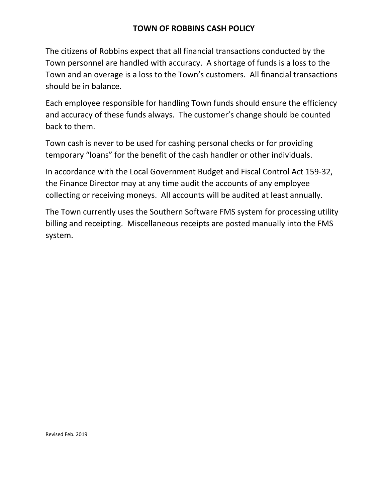# **TOWN OF ROBBINS CASH POLICY**

The citizens of Robbins expect that all financial transactions conducted by the Town personnel are handled with accuracy. A shortage of funds is a loss to the Town and an overage is a loss to the Town's customers. All financial transactions should be in balance.

Each employee responsible for handling Town funds should ensure the efficiency and accuracy of these funds always. The customer's change should be counted back to them.

Town cash is never to be used for cashing personal checks or for providing temporary "loans" for the benefit of the cash handler or other individuals.

In accordance with the Local Government Budget and Fiscal Control Act 159-32, the Finance Director may at any time audit the accounts of any employee collecting or receiving moneys. All accounts will be audited at least annually.

The Town currently uses the Southern Software FMS system for processing utility billing and receipting. Miscellaneous receipts are posted manually into the FMS system.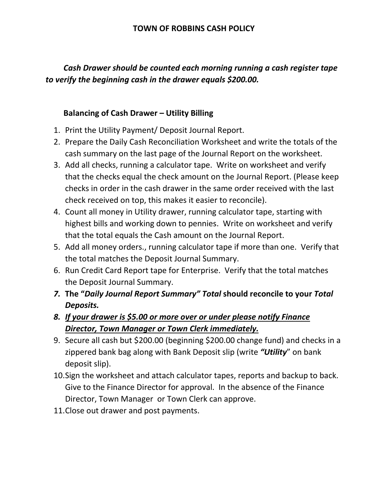# **TOWN OF ROBBINS CASH POLICY**

# *Cash Drawer should be counted each morning running a cash register tape to verify the beginning cash in the drawer equals \$200.00.*

# **Balancing of Cash Drawer – Utility Billing**

- 1. Print the Utility Payment/ Deposit Journal Report.
- 2. Prepare the Daily Cash Reconciliation Worksheet and write the totals of the cash summary on the last page of the Journal Report on the worksheet.
- 3. Add all checks, running a calculator tape. Write on worksheet and verify that the checks equal the check amount on the Journal Report. (Please keep checks in order in the cash drawer in the same order received with the last check received on top, this makes it easier to reconcile).
- 4. Count all money in Utility drawer, running calculator tape, starting with highest bills and working down to pennies. Write on worksheet and verify that the total equals the Cash amount on the Journal Report.
- 5. Add all money orders., running calculator tape if more than one. Verify that the total matches the Deposit Journal Summary.
- 6. Run Credit Card Report tape for Enterprise. Verify that the total matches the Deposit Journal Summary.
- *7.* **The "***Daily Journal Report Summary" Total* **should reconcile to your** *Total Deposits.*
- *8. If your drawer is \$5.00 or more over or under please notify Finance Director, Town Manager or Town Clerk immediately.*
- 9. Secure all cash but \$200.00 (beginning \$200.00 change fund) and checks in a zippered bank bag along with Bank Deposit slip (write *"Utility*" on bank deposit slip).
- 10.Sign the worksheet and attach calculator tapes, reports and backup to back. Give to the Finance Director for approval. In the absence of the Finance Director, Town Manager or Town Clerk can approve.
- 11.Close out drawer and post payments.